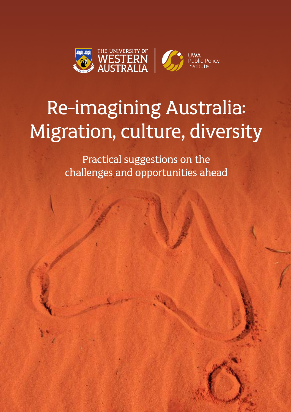

## Re-imagining Australia: Migration, culture, diversity

Practical suggestions on the challenges and opportunities ahead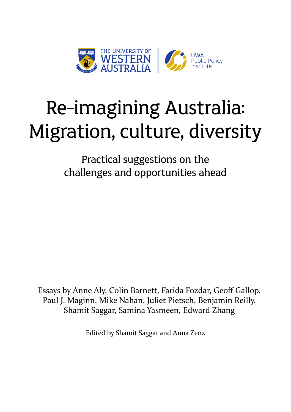

# Re-imagining Australia: Migration, culture, diversity

Practical suggestions on the challenges and opportunities ahead

Essays by Anne Aly, Colin Barnett, Farida Fozdar, Geoff Gallop, Paul J. Maginn, Mike Nahan, Juliet Pietsch, Benjamin Reilly, Shamit Saggar, Samina Yasmeen, Edward Zhang

Edited by Shamit Saggar and Anna Zenz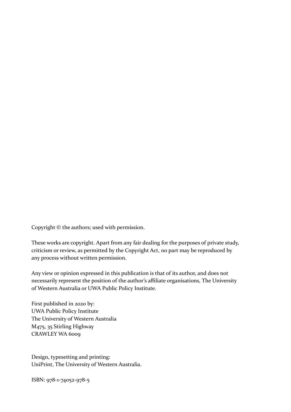Copyright © the authors; used with permission.

These works are copyright. Apart from any fair dealing for the purposes of private study, criticism or review, as permitted by the Copyright Act, no part may be reproduced by any process without written permission.

Any view or opinion expressed in this publication is that of its author, and does not necessarily represent the position of the author's affiliate organisations, The University of Western Australia or UWA Public Policy Institute.

First published in 2020 by: UWA Public Policy Institute The University of Western Australia M475, 35 Stirling Highway CRAWLEY WA 6000

Design, typesetting and printing: UniPrint, The University of Western Australia.

ISBN: 978-1-74052-978-5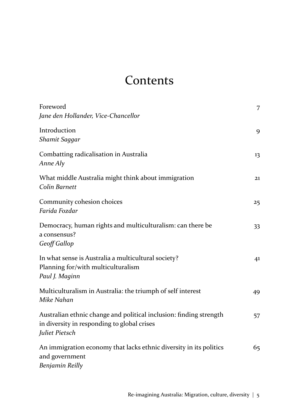### Contents

| Foreword<br>Jane den Hollander, Vice-Chancellor                                                                                     | 7  |
|-------------------------------------------------------------------------------------------------------------------------------------|----|
| Introduction<br>Shamit Saggar                                                                                                       | 9  |
| Combatting radicalisation in Australia<br>Anne Aly                                                                                  | 13 |
| What middle Australia might think about immigration<br>Colin Barnett                                                                | 21 |
| Community cohesion choices<br>Farida Fozdar                                                                                         | 25 |
| Democracy, human rights and multiculturalism: can there be<br>a consensus?<br>Geoff Gallop                                          | 33 |
| In what sense is Australia a multicultural society?<br>Planning for/with multiculturalism<br>Paul J. Maginn                         | 41 |
| Multiculturalism in Australia: the triumph of self interest<br>Mike Nahan                                                           | 49 |
| Australian ethnic change and political inclusion: finding strength<br>in diversity in responding to global crises<br>Juliet Pietsch | 57 |
| An immigration economy that lacks ethnic diversity in its politics<br>and government<br>Benjamin Reilly                             | 65 |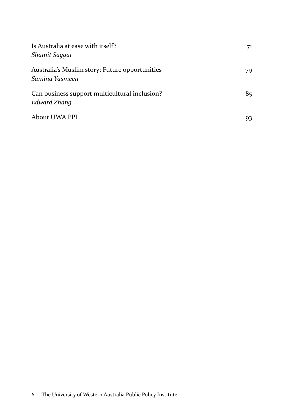| Is Australia at ease with itself?<br>Shamit Saggar               | 71  |
|------------------------------------------------------------------|-----|
| Australia's Muslim story: Future opportunities<br>Samina Yasmeen | 79  |
| Can business support multicultural inclusion?<br>Edward Zhang    | 85. |
| About UWA PPI                                                    | 93  |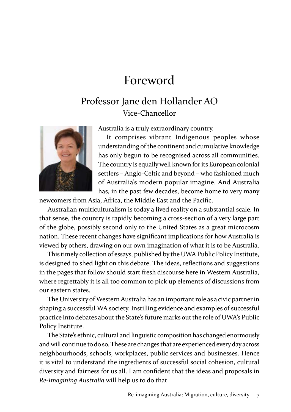### Foreword

### Professor Jane den Hollander AO Vice-Chancellor



Australia is a truly extraordinary country.

It comprises vibrant Indigenous peoples whose understanding of the continent and cumulative knowledge has only begun to be recognised across all communities. The country is equally well known for its European colonial settlers – Anglo-Celtic and beyond – who fashioned much of Australia's modern popular imagine. And Australia has, in the past few decades, become home to very many

newcomers from Asia, Africa, the Middle East and the Pacific.

Australian multiculturalism is today a lived reality on a substantial scale. In that sense, the country is rapidly becoming a cross-section of a very large part of the globe, possibly second only to the United States as a great microcosm nation. These recent changes have significant implications for how Australia is viewed by others, drawing on our own imagination of what it is to be Australia.

This timely collection of essays, published by the UWA Public Policy Institute, is designed to shed light on this debate. The ideas, reflections and suggestions in the pages that follow should start fresh discourse here in Western Australia, where regrettably it is all too common to pick up elements of discussions from our eastern states.

The University of Western Australia has an important role as a civic partner in shaping a successful WA society. Instilling evidence and examples of successful practice into debates about the State's future marks out the role of UWA's Public Policy Institute.

The State's ethnic, cultural and linguistic composition has changed enormously and will continue to do so. These are changes that are experienced every day across neighbourhoods, schools, workplaces, public services and businesses. Hence it is vital to understand the ingredients of successful social cohesion, cultural diversity and fairness for us all. I am confident that the ideas and proposals in *Re-Imagining Australia* will help us to do that.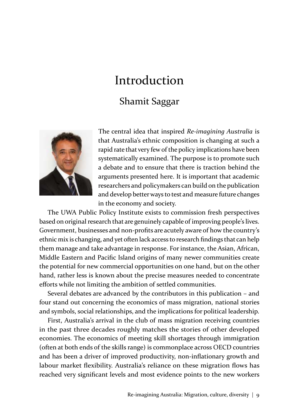# Introduction

### Shamit Saggar



The central idea that inspired *Re-imagining Australia* is that Australia's ethnic composition is changing at such a rapid rate that very few of the policy implications have been systematically examined. The purpose is to promote such a debate and to ensure that there is traction behind the arguments presented here. It is important that academic researchers and policymakers can build on the publication and develop better ways to test and measure future changes in the economy and society.

The UWA Public Policy Institute exists to commission fresh perspectives based on original research that are genuinely capable of improving people's lives. Government, businesses and non-profits are acutely aware of how the country's ethnic mix is changing, and yet often lack access to research findings that can help them manage and take advantage in response. For instance, the Asian, African, Middle Eastern and Pacific Island origins of many newer communities create the potential for new commercial opportunities on one hand, but on the other hand, rather less is known about the precise measures needed to concentrate efforts while not limiting the ambition of settled communities.

Several debates are advanced by the contributors in this publication – and four stand out concerning the economics of mass migration, national stories and symbols, social relationships, and the implications for political leadership.

First, Australia's arrival in the club of mass migration receiving countries in the past three decades roughly matches the stories of other developed economies. The economics of meeting skill shortages through immigration (often at both ends of the skills range) is commonplace across OECD countries and has been a driver of improved productivity, non-inflationary growth and labour market flexibility. Australia's reliance on these migration flows has reached very significant levels and most evidence points to the new workers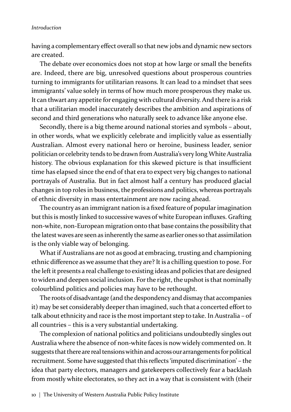#### *Introduction*

having a complementary effect overall so that new jobs and dynamic new sectors are created.

The debate over economics does not stop at how large or small the benefits are. Indeed, there are big, unresolved questions about prosperous countries turning to immigrants for utilitarian reasons. It can lead to a mindset that sees immigrants' value solely in terms of how much more prosperous they make us. It can thwart any appetite for engaging with cultural diversity. And there is a risk that a utilitarian model inaccurately describes the ambition and aspirations of second and third generations who naturally seek to advance like anyone else.

Secondly, there is a big theme around national stories and symbols – about, in other words, what we explicitly celebrate and implicitly value as essentially Australian. Almost every national hero or heroine, business leader, senior politician or celebrity tends to be drawn from Australia's very long White Australia history. The obvious explanation for this skewed picture is that insufficient time has elapsed since the end of that era to expect very big changes to national portrayals of Australia. But in fact almost half a century has produced glacial changes in top roles in business, the professions and politics, whereas portrayals of ethnic diversity in mass entertainment are now racing ahead.

The country as an immigrant nation is a fixed feature of popular imagination but this is mostly linked to successive waves of white European influxes. Grafting non-white, non-European migration onto that base contains the possibility that the latest waves are seen as inherently the same as earlier ones so that assimilation is the only viable way of belonging.

What if Australians are not as good at embracing, trusting and championing ethnic difference as we assume that they are? It is a chilling question to pose. For the left it presents a real challenge to existing ideas and policies that are designed to widen and deepen social inclusion. For the right, the upshot is that nominally colourblind politics and policies may have to be rethought.

The roots of disadvantage (and the despondency and dismay that accompanies it) may be set considerably deeper than imagined, such that a concerted effort to talk about ethnicity and race is the most important step to take. In Australia – of all countries – this is a very substantial undertaking.

The complexion of national politics and politicians undoubtedly singles out Australia where the absence of non-white faces is now widely commented on. It suggests that there are real tensions within and across our arrangements for political recruitment. Some have suggested that this reflects 'imputed discrimination' – the idea that party electors, managers and gatekeepers collectively fear a backlash from mostly white electorates, so they act in a way that is consistent with (their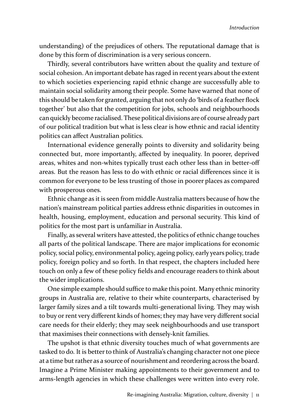understanding) of the prejudices of others. The reputational damage that is done by this form of discrimination is a very serious concern.

Thirdly, several contributors have written about the quality and texture of social cohesion. An important debate has raged in recent years about the extent to which societies experiencing rapid ethnic change are successfully able to maintain social solidarity among their people. Some have warned that none of this should be taken for granted, arguing that not only do 'birds of a feather flock together' but also that the competition for jobs, schools and neighbourhoods can quickly become racialised. These political divisions are of course already part of our political tradition but what is less clear is how ethnic and racial identity politics can affect Australian politics.

International evidence generally points to diversity and solidarity being connected but, more importantly, affected by inequality. In poorer, deprived areas, whites and non-whites typically trust each other less than in better-off areas. But the reason has less to do with ethnic or racial differences since it is common for everyone to be less trusting of those in poorer places as compared with prosperous ones.

Ethnic change as it is seen from middle Australia matters because of how the nation's mainstream political parties address ethnic disparities in outcomes in health, housing, employment, education and personal security. This kind of politics for the most part is unfamiliar in Australia.

Finally, as several writers have attested, the politics of ethnic change touches all parts of the political landscape. There are major implications for economic policy, social policy, environmental policy, ageing policy, early years policy, trade policy, foreign policy and so forth. In that respect, the chapters included here touch on only a few of these policy fields and encourage readers to think about the wider implications.

One simple example should suffice to make this point. Many ethnic minority groups in Australia are, relative to their white counterparts, characterised by larger family sizes and a tilt towards multi-generational living. They may wish to buy or rent very different kinds of homes; they may have very different social care needs for their elderly; they may seek neighbourhoods and use transport that maximises their connections with densely-knit families.

The upshot is that ethnic diversity touches much of what governments are tasked to do. It is better to think of Australia's changing character not one piece at a time but rather as a source of nourishment and reordering across the board. Imagine a Prime Minister making appointments to their government and to arms-length agencies in which these challenges were written into every role.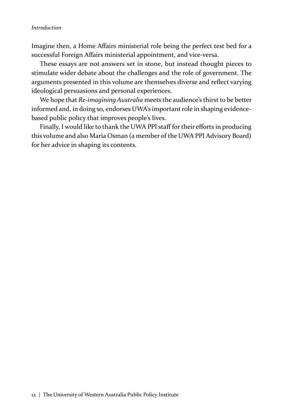#### *Introduction*

Imagine then, a Home Affairs ministerial role being the perfect test bed for a successful Foreign Affairs ministerial appointment, and vice-versa.

These essays are not answers set in stone, but instead thought pieces to stimulate wider debate about the challenges and the role of government. The arguments presented in this volume are themselves diverse and reflect varying ideological persuasions and personal experiences.

We hope that *Re-imagining Australia* meets the audience's thirst to be better informed and, in doing so, endorses UWA's important role in shaping evidencebased public policy that improves people's lives.

Finally, I would like to thank the UWA PPI staff for their efforts in producing this volume and also Maria Osman (a member of the UWA PPI Advisory Board) for her advice in shaping its contents.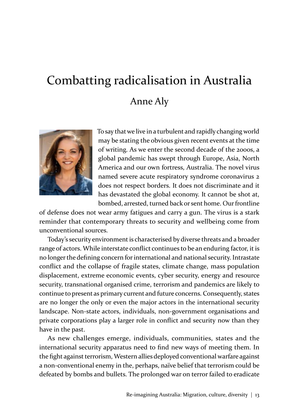### Combatting radicalisation in Australia Anne Aly



To say that we live in a turbulent and rapidly changing world may be stating the obvious given recent events at the time of writing. As we enter the second decade of the 2000s, a global pandemic has swept through Europe, Asia, North America and our own fortress, Australia. The novel virus named severe acute respiratory syndrome coronavirus 2 does not respect borders. It does not discriminate and it has devastated the global economy. It cannot be shot at, bombed, arrested, turned back or sent home. Our frontline

of defense does not wear army fatigues and carry a gun. The virus is a stark reminder that contemporary threats to security and wellbeing come from unconventional sources.

Today's security environment is characterised by diverse threats and a broader range of actors. While interstate conflict continues to be an enduring factor, it is no longer the defining concern for international and national security. Intrastate conflict and the collapse of fragile states, climate change, mass population displacement, extreme economic events, cyber security, energy and resource security, transnational organised crime, terrorism and pandemics are likely to continue to present as primary current and future concerns. Consequently, states are no longer the only or even the major actors in the international security landscape. Non-state actors, individuals, non-government organisations and private corporations play a larger role in conflict and security now than they have in the past.

As new challenges emerge, individuals, communities, states and the international security apparatus need to find new ways of meeting them. In the fight against terrorism, Western allies deployed conventional warfare against a non-conventional enemy in the, perhaps, naïve belief that terrorism could be defeated by bombs and bullets. The prolonged war on terror failed to eradicate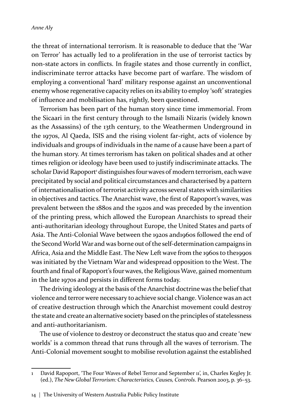the threat of international terrorism. It is reasonable to deduce that the 'War on Terror' has actually led to a proliferation in the use of terrorist tactics by non-state actors in conflicts. In fragile states and those currently in conflict, indiscriminate terror attacks have become part of warfare. The wisdom of employing a conventional 'hard' military response against an unconventional enemy whose regenerative capacity relies on its ability to employ 'soft' strategies of influence and mobilisation has, rightly, been questioned.

Terrorism has been part of the human story since time immemorial. From the Sicaari in the first century through to the Ismaili Nizaris (widely known as the Assassins) of the 13th century, to the Weathermen Underground in the 1970s, Al Qaeda, ISIS and the rising violent far-right, acts of violence by individuals and groups of individuals in the name of a cause have been a part of the human story. At times terrorism has taken on political shades and at other times religion or ideology have been used to justify indiscriminate attacks. The scholar David Rapoport<sup>1</sup> distinguishes four waves of modern terrorism, each wave precipitated by social and political circumstances and characterised by a pattern of internationalisation of terrorist activity across several states with similarities in objectives and tactics. The Anarchist wave, the first of Rapoport's waves, was prevalent between the 1880s and the 1920s and was preceded by the invention of the printing press, which allowed the European Anarchists to spread their anti-authoritarian ideology throughout Europe, the United States and parts of Asia. The Anti-Colonial Wave between the 1920s and1960s followed the end of the Second World War and was borne out of the self-determination campaigns in Africa, Asia and the Middle East. The New Left wave from the 1960s to the1990s was initiated by the Vietnam War and widespread opposition to the West. The fourth and final of Rapoport's four waves, the Religious Wave, gained momentum in the late 1970s and persists in different forms today.

The driving ideology at the basis of the Anarchist doctrine was the belief that violence and terror were necessary to achieve social change. Violence was an act of creative destruction through which the Anarchist movement could destroy the state and create an alternative society based on the principles of statelessness and anti-authoritarianism.

The use of violence to destroy or deconstruct the status quo and create 'new worlds' is a common thread that runs through all the waves of terrorism. The Anti-Colonial movement sought to mobilise revolution against the established

David Rapoport, 'The Four Waves of Rebel Terror and September 11', in, Charles Kegley Jr. (ed.), *The New Global Terrorism: Characteristics, Causes, Controls*. Pearson 2003, p. 36–53.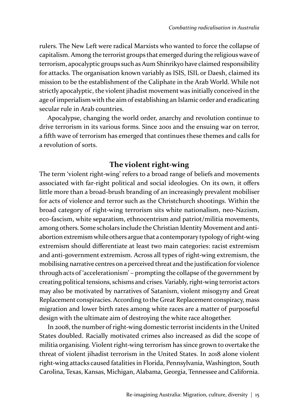rulers. The New Left were radical Marxists who wanted to force the collapse of capitalism. Among the terrorist groups that emerged during the religious wave of terrorism, apocalyptic groups such as Aum Shinrikyo have claimed responsibility for attacks. The organisation known variably as ISIS, ISIL or Daesh, claimed its mission to be the establishment of the Caliphate in the Arab World. While not strictly apocalyptic, the violent jihadist movement was initially conceived in the age of imperialism with the aim of establishing an Islamic order and eradicating secular rule in Arab countries.

Apocalypse, changing the world order, anarchy and revolution continue to drive terrorism in its various forms. Since 2001 and the ensuing war on terror, a fifth wave of terrorism has emerged that continues these themes and calls for a revolution of sorts.

### **The violent right-wing**

The term 'violent right-wing' refers to a broad range of beliefs and movements associated with far-right political and social ideologies. On its own, it offers little more than a broad-brush branding of an increasingly prevalent mobiliser for acts of violence and terror such as the Christchurch shootings. Within the broad category of right-wing terrorism sits white nationalism, neo-Nazism, eco-fascism, white separatism, ethnocentrism and patriot/militia movements, among others. Some scholars include the Christian Identity Movement and antiabortion extremism while others argue that a contemporary typology of right-wing extremism should differentiate at least two main categories: racist extremism and anti-government extremism. Across all types of right-wing extremism, the mobilising narrative centres on a perceived threat and the justification for violence through acts of 'accelerationism' – prompting the collapse of the government by creating political tensions, schisms and crises. Variably, right-wing terrorist actors may also be motivated by narratives of Satanism, violent misogyny and Great Replacement conspiracies. According to the Great Replacement conspiracy, mass migration and lower birth rates among white races are a matter of purposeful design with the ultimate aim of destroying the white race altogether.

In 2008, the number of right-wing domestic terrorist incidents in the United States doubled. Racially motivated crimes also increased as did the scope of militia organising. Violent right-wing terrorism has since grown to overtake the threat of violent jihadist terrorism in the United States. In 2018 alone violent right-wing attacks caused fatalities in Florida, Pennsylvania, Washington, South Carolina, Texas, Kansas, Michigan, Alabama, Georgia, Tennessee and California.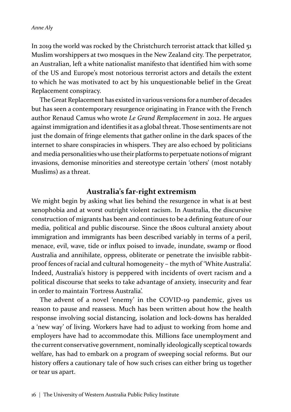In 2019 the world was rocked by the Christchurch terrorist attack that killed 51 Muslim worshippers at two mosques in the New Zealand city. The perpetrator, an Australian, left a white nationalist manifesto that identified him with some of the US and Europe's most notorious terrorist actors and details the extent to which he was motivated to act by his unquestionable belief in the Great Replacement conspiracy.

The Great Replacement has existed in various versions for a number of decades but has seen a contemporary resurgence originating in France with the French author Renaud Camus who wrote *Le Grand Remplacement* in 2012. He argues against immigration and identifies it as a global threat. Those sentiments are not just the domain of fringe elements that gather online in the dark spaces of the internet to share conspiracies in whispers. They are also echoed by politicians and media personalities who use their platforms to perpetuate notions of migrant invasions, demonise minorities and stereotype certain 'others' (most notably Muslims) as a threat.

#### **Australia's far-right extremism**

We might begin by asking what lies behind the resurgence in what is at best xenophobia and at worst outright violent racism. In Australia, the discursive construction of migrants has been and continues to be a defining feature of our media, political and public discourse. Since the 1800s cultural anxiety about immigration and immigrants has been described variably in terms of a peril, menace, evil, wave, tide or influx poised to invade, inundate, swamp or flood Australia and annihilate, oppress, obliterate or penetrate the invisible rabbitproof fences of racial and cultural homogeneity – the myth of 'White Australia'. Indeed, Australia's history is peppered with incidents of overt racism and a political discourse that seeks to take advantage of anxiety, insecurity and fear in order to maintain 'Fortress Australia'.

The advent of a novel 'enemy' in the COVID-19 pandemic, gives us reason to pause and reassess. Much has been written about how the health response involving social distancing, isolation and lock-downs has heralded a 'new way' of living. Workers have had to adjust to working from home and employers have had to accommodate this. Millions face unemployment and the current conservative government, nominally ideologically sceptical towards welfare, has had to embark on a program of sweeping social reforms. But our history offers a cautionary tale of how such crises can either bring us together or tear us apart.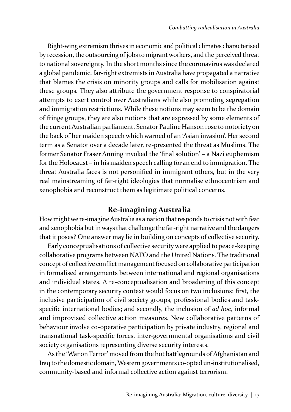Right-wing extremism thrives in economic and political climates characterised by recession, the outsourcing of jobs to migrant workers, and the perceived threat to national sovereignty. In the short months since the coronavirus was declared a global pandemic, far-right extremists in Australia have propagated a narrative that blames the crisis on minority groups and calls for mobilisation against these groups. They also attribute the government response to conspiratorial attempts to exert control over Australians while also promoting segregation and immigration restrictions. While these notions may seem to be the domain of fringe groups, they are also notions that are expressed by some elements of the current Australian parliament. Senator Pauline Hanson rose to notoriety on the back of her maiden speech which warned of an 'Asian invasion'. Her second term as a Senator over a decade later, re-presented the threat as Muslims. The former Senator Fraser Anning invoked the 'final solution' – a Nazi euphemism for the Holocaust – in his maiden speech calling for an end to immigration. The threat Australia faces is not personified in immigrant others, but in the very real mainstreaming of far-right ideologies that normalise ethnocentrism and xenophobia and reconstruct them as legitimate political concerns.

#### **Re-imagining Australia**

How might we re-imagine Australia as a nation that responds to crisis not with fear and xenophobia but in ways that challenge the far-right narrative and the dangers that it poses? One answer may lie in building on concepts of collective security.

Early conceptualisations of collective security were applied to peace-keeping collaborative programs between NATO and the United Nations. The traditional concept of collective conflict management focused on collaborative participation in formalised arrangements between international and regional organisations and individual states. A re-conceptualisation and broadening of this concept in the contemporary security context would focus on two inclusions: first, the inclusive participation of civil society groups, professional bodies and taskspecific international bodies; and secondly, the inclusion of *ad hoc*, informal and improvised collective action measures. New collaborative patterns of behaviour involve co-operative participation by private industry, regional and transnational task-specific forces, inter-governmental organisations and civil society organisations representing diverse security interests.

As the 'War on Terror' moved from the hot battlegrounds of Afghanistan and Iraq to the domestic domain, Western governments co-opted un-institutionalised, community-based and informal collective action against terrorism.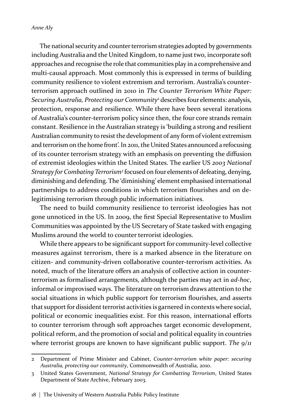The national security and counter terrorism strategies adopted by governments including Australia and the United Kingdom, to name just two, incorporate soft approaches and recognise the role that communities play in a comprehensive and multi-causal approach. Most commonly this is expressed in terms of building community resilience to violent extremism and terrorism. Australia's counterterrorism approach outlined in 2010 in *The Counter Terrorism White Paper: Securing Australia, Protecting our Community2* describes four elements: analysis, protection, response and resilience. While there have been several iterations of Australia's counter-terrorism policy since then, the four core strands remain constant. Resilience in the Australian strategy is 'building a strong and resilient Australian community to resist the development of any form of violent extremism and terrorism on the home front'. In 2011, the United States announced a refocusing of its counter terrorism strategy with an emphasis on preventing the diffusion of extremist ideologies within the United States. The earlier US *2003 National Strategy for Combating Terrorism<sup>3</sup>* focused on four elements of defeating, denying, diminishing and defending. The 'diminishing' element emphasised international partnerships to address conditions in which terrorism flourishes and on delegitimising terrorism through public information initiatives.

The need to build community resilience to terrorist ideologies has not gone unnoticed in the US. In 2009, the first Special Representative to Muslim Communities was appointed by the US Secretary of State tasked with engaging Muslims around the world to counter terrorist ideologies.

While there appears to be significant support for community-level collective measures against terrorism, there is a marked absence in the literature on citizen- and community-driven collaborative counter-terrorism activities. As noted, much of the literature offers an analysis of collective action in counterterrorism as formalised arrangements, although the parties may act in *ad-hoc*, informal or improvised ways. The literature on terrorism draws attention to the social situations in which public support for terrorism flourishes, and asserts that support for dissident terrorist activities is garnered in contexts where social, political or economic inequalities exist. For this reason, international efforts to counter terrorism through soft approaches target economic development, political reform, and the promotion of social and political equality in countries where terrorist groups are known to have significant public support. The  $9/11$ 

<sup>2</sup> Department of Prime Minister and Cabinet, *Counter-terrorism white paper: securing Australia, protecting our community*, Commonwealth of Australia, 2010.

<sup>3</sup> United States Government, *National Strategy for Combatting Terrorism*, United States Department of State Archive, February 2003.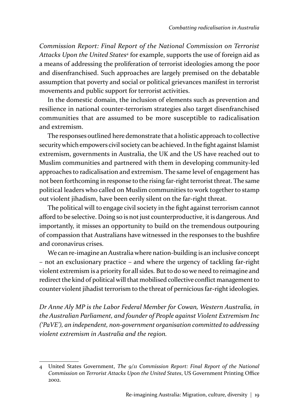*Commission Report: Final Report of the National Commission on Terrorist Attacks Upon the United States<sup>4</sup>* for example, supports the use of foreign aid as a means of addressing the proliferation of terrorist ideologies among the poor and disenfranchised. Such approaches are largely premised on the debatable assumption that poverty and social or political grievances manifest in terrorist movements and public support for terrorist activities.

In the domestic domain, the inclusion of elements such as prevention and resilience in national counter-terrorism strategies also target disenfranchised communities that are assumed to be more susceptible to radicalisation and extremism.

The responses outlined here demonstrate that a holistic approach to collective security which empowers civil society can be achieved. In the fight against Islamist extremism, governments in Australia, the UK and the US have reached out to Muslim communities and partnered with them in developing community-led approaches to radicalisation and extremism. The same level of engagement has not been forthcoming in response to the rising far-right terrorist threat. The same political leaders who called on Muslim communities to work together to stamp out violent jihadism, have been eerily silent on the far-right threat.

The political will to engage civil society in the fight against terrorism cannot afford to be selective. Doing so is not just counterproductive, it is dangerous. And importantly, it misses an opportunity to build on the tremendous outpouring of compassion that Australians have witnessed in the responses to the bushfire and coronavirus crises.

We can re-imagine an Australia where nation-building is an inclusive concept – not an exclusionary practice – and where the urgency of tackling far-right violent extremism is a priority for all sides. But to do so we need to reimagine and redirect the kind of political will that mobilised collective conflict management to counter violent jihadist terrorism to the threat of pernicious far-right ideologies.

*Dr Anne Aly MP is the Labor Federal Member for Cowan, Western Australia, in the Australian Parliament, and founder of People against Violent Extremism Inc ('PaVE'), an independent, non-government organisation committed to addressing violent extremism in Australia and the region.*

<sup>4</sup> United States Government, *The 9/11 Commission Report: Final Report of the National Commission on Terrorist Attacks Upon the United States*, US Government Printing Office 2002.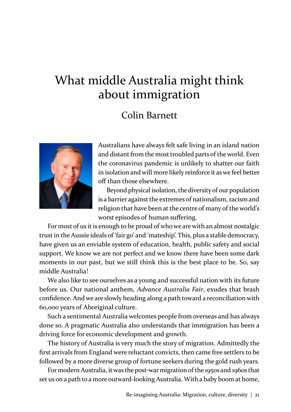### What middle Australia might think about immigration

### Colin Barnett



Australians have always felt safe living in an island nation and distant from the most troubled parts of the world. Even the coronavirus pandemic is unlikely to shatter our faith in isolation and will more likely reinforce it as we feel better off than those elsewhere.

Beyond physical isolation, the diversity of our population is a barrier against the extremes of nationalism, racism and religion that have been at the centre of many of the world's worst episodes of human suffering.

For most of us it is enough to be proud of who we are with an almost nostalgic trust in the Aussie ideals of 'fair go' and 'mateship'. This, plus a stable democracy, have given us an enviable system of education, health, public safety and social support. We know we are not perfect and we know there have been some dark moments in our past, but we still think this is the best place to be. So, say middle Australia!

We also like to see ourselves as a young and successful nation with its future before us. Our national anthem, *Advance Australia Fair*, exudes that brash confidence. And we are slowly heading along a path toward a reconciliation with 60,000 years of Aboriginal culture.

Such a sentimental Australia welcomes people from overseas and has always done so. A pragmatic Australia also understands that immigration has been a driving force for economic development and growth.

The history of Australia is very much the story of migration. Admittedly the first arrivals from England were reluctant convicts, then came free settlers to be followed by a more diverse group of fortune seekers during the gold rush years.

For modern Australia, it was the post-war migration of the 1950s and 1960s that set us on a path to a more outward-looking Australia. With a baby boom at home,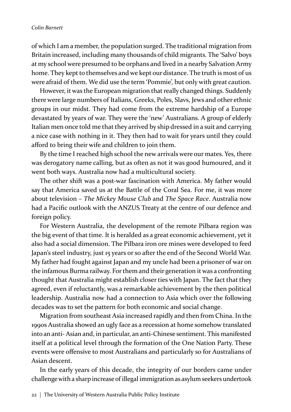of which I am a member, the population surged. The traditional migration from Britain increased, including many thousands of child migrants. The 'Salvo' boys at my school were presumed to be orphans and lived in a nearby Salvation Army home. They kept to themselves and we kept our distance. The truth is most of us were afraid of them. We did use the term 'Pommie', but only with great caution.

However, it was the European migration that really changed things. Suddenly there were large numbers of Italians, Greeks, Poles, Slavs, Jews and other ethnic groups in our midst. They had come from the extreme hardship of a Europe devastated by years of war. They were the 'new' Australians. A group of elderly Italian men once told me that they arrived by ship dressed in a suit and carrying a nice case with nothing in it. They then had to wait for years until they could afford to bring their wife and children to join them.

By the time I reached high school the new arrivals were our mates. Yes, there was derogatory name calling, but as often as not it was good humoured, and it went both ways. Australia now had a multicultural society.

The other shift was a post-war fascination with America. My father would say that America saved us at the Battle of the Coral Sea. For me, it was more about television – *The Mickey Mouse Club* and *The Space Race*. Australia now had a Pacific outlook with the ANZUS Treaty at the centre of our defence and foreign policy.

For Western Australia, the development of the remote Pilbara region was the big event of that time. It is heralded as a great economic achievement, yet it also had a social dimension. The Pilbara iron ore mines were developed to feed Japan's steel industry, just 15 years or so after the end of the Second World War. My father had fought against Japan and my uncle had been a prisoner of war on the infamous Burma railway. For them and their generation it was a confronting thought that Australia might establish closer ties with Japan. The fact that they agreed, even if reluctantly, was a remarkable achievement by the then political leadership. Australia now had a connection to Asia which over the following decades was to set the pattern for both economic and social change.

Migration from southeast Asia increased rapidly and then from China. In the 1990s Australia showed an ugly face as a recession at home somehow translated into an anti- Asian and, in particular, an anti-Chinese sentiment. This manifested itself at a political level through the formation of the One Nation Party. These events were offensive to most Australians and particularly so for Australians of Asian descent.

In the early years of this decade, the integrity of our borders came under challenge with a sharp increase of illegal immigration as asylum seekers undertook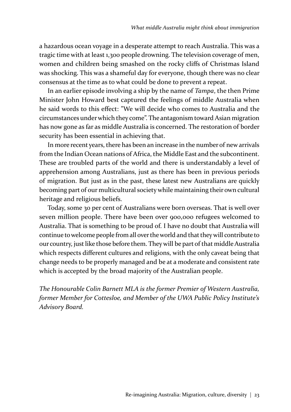a hazardous ocean voyage in a desperate attempt to reach Australia. This was a tragic time with at least 1,300 people drowning. The television coverage of men, women and children being smashed on the rocky cliffs of Christmas Island was shocking. This was a shameful day for everyone, though there was no clear consensus at the time as to what could be done to prevent a repeat.

In an earlier episode involving a ship by the name of *Tampa*, the then Prime Minister John Howard best captured the feelings of middle Australia when he said words to this effect: "We will decide who comes to Australia and the circumstances under which they come". The antagonism toward Asian migration has now gone as far as middle Australia is concerned. The restoration of border security has been essential in achieving that.

In more recent years, there has been an increase in the number of new arrivals from the Indian Ocean nations of Africa, the Middle East and the subcontinent. These are troubled parts of the world and there is understandably a level of apprehension among Australians, just as there has been in previous periods of migration. But just as in the past, these latest new Australians are quickly becoming part of our multicultural society while maintaining their own cultural heritage and religious beliefs.

Today, some 30 per cent of Australians were born overseas. That is well over seven million people. There have been over 900,000 refugees welcomed to Australia. That is something to be proud of. I have no doubt that Australia will continue to welcome people from all over the world and that they will contribute to our country, just like those before them. They will be part of that middle Australia which respects different cultures and religions, with the only caveat being that change needs to be properly managed and be at a moderate and consistent rate which is accepted by the broad majority of the Australian people.

*The Honourable Colin Barnett MLA is the former Premier of Western Australia, former Member for Cottesloe, and Member of the UWA Public Policy Institute's Advisory Board.*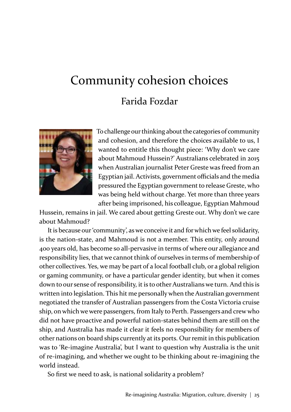### Community cohesion choices Farida Fozdar



To challenge our thinking about the categories of community and cohesion, and therefore the choices available to us, I wanted to entitle this thought piece: 'Why don't we care about Mahmoud Hussein?' Australians celebrated in 2015 when Australian journalist Peter Greste was freed from an Egyptian jail. Activists, government officials and the media pressured the Egyptian government to release Greste, who was being held without charge. Yet more than three years after being imprisoned, his colleague, Egyptian Mahmoud

Hussein, remains in jail. We cared about getting Greste out. Why don't we care about Mahmoud?

It is because our 'community', as we conceive it and for which we feel solidarity, is the nation-state, and Mahmoud is not a member. This entity, only around 400 years old, has become so all-pervasive in terms of where our allegiance and responsibility lies, that we cannot think of ourselves in terms of membership of other collectives. Yes, we may be part of a local football club, or a global religion or gaming community, or have a particular gender identity, but when it comes down to our sense of responsibility, it is to other Australians we turn. And this is written into legislation. This hit me personally when the Australian government negotiated the transfer of Australian passengers from the Costa Victoria cruise ship, on which we were passengers, from Italy to Perth. Passengers and crew who did not have proactive and powerful nation-states behind them are still on the ship, and Australia has made it clear it feels no responsibility for members of other nations on board ships currently at its ports. Our remit in this publication was to 'Re-imagine Australia', but I want to question why Australia is the unit of re-imagining, and whether we ought to be thinking about re-imagining the world instead.

So first we need to ask, is national solidarity a problem?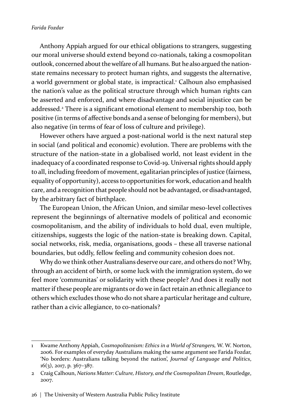#### *Farida Fozdar*

Anthony Appiah argued for our ethical obligations to strangers, suggesting our moral universe should extend beyond co-nationals, taking a cosmopolitan outlook, concerned about the welfare of all humans. But he also argued the nationstate remains necessary to protect human rights, and suggests the alternative, a world government or global state, is impractical.<sup>1</sup> Calhoun also emphasised the nation's value as the political structure through which human rights can be asserted and enforced, and where disadvantage and social injustice can be addressed.<sup>2</sup> There is a significant emotional element to membership too, both positive (in terms of affective bonds and a sense of belonging for members), but also negative (in terms of fear of loss of culture and privilege).

However others have argued a post-national world is the next natural step in social (and political and economic) evolution. There are problems with the structure of the nation-state in a globalised world, not least evident in the inadequacy of a coordinated response to Covid-19. Universal rights should apply to all, including freedom of movement, egalitarian principles of justice (fairness, equality of opportunity), access to opportunities for work, education and health care, and a recognition that people should not be advantaged, or disadvantaged, by the arbitrary fact of birthplace.

The European Union, the African Union, and similar meso-level collectives represent the beginnings of alternative models of political and economic cosmopolitanism, and the ability of individuals to hold dual, even multiple, citizenships, suggests the logic of the nation-state is breaking down. Capital, social networks, risk, media, organisations, goods – these all traverse national boundaries, but oddly, fellow feeling and community cohesion does not.

Why do we think other Australians deserve our care, and others do not? Why, through an accident of birth, or some luck with the immigration system, do we feel more 'communitas' or solidarity with these people? And does it really not matter if these people are migrants or do we in fact retain an ethnic allegiance to others which excludes those who do not share a particular heritage and culture, rather than a civic allegiance, to co-nationals?

<sup>1</sup> Kwame Anthony Appiah, *Cosmopolitanism: Ethics in a World of Strangers,* W. W. Norton, 2006. For examples of everyday Australians making the same argument see Farida Fozdar, 'No borders: Australians talking beyond the nation', *Journal of Language and Politics*, 16(3), 2017, p. 367–387.

<sup>2</sup> Craig Calhoun, *Nations Matter: Culture, History, and the Cosmopolitan Dream*, Routledge, 2007.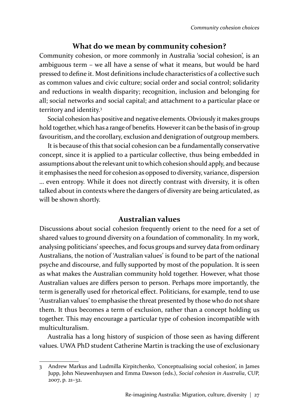### **What do we mean by community cohesion?**

Community cohesion, or more commonly in Australia 'social cohesion', is an ambiguous term – we all have a sense of what it means, but would be hard pressed to define it. Most definitions include characteristics of a collective such as common values and civic culture; social order and social control; solidarity and reductions in wealth disparity; recognition, inclusion and belonging for all; social networks and social capital; and attachment to a particular place or territory and identity.3

Social cohesion has positive and negative elements. Obviously it makes groups hold together, which has a range of benefits. However it can be the basis of in-group favouritism, and the corollary, exclusion and denigration of outgroup members.

It is because of this that social cohesion can be a fundamentally conservative concept, since it is applied to a particular collective, thus being embedded in assumptions about the relevant unit to which cohesion should apply, and because it emphasises the need for cohesion as opposed to diversity, variance, dispersion … even entropy. While it does not directly contrast with diversity, it is often talked about in contexts where the dangers of diversity are being articulated, as will be shown shortly.

### **Australian values**

Discussions about social cohesion frequently orient to the need for a set of shared values to ground diversity on a foundation of commonality. In my work, analysing politicians' speeches, and focus groups and survey data from ordinary Australians, the notion of 'Australian values' is found to be part of the national psyche and discourse, and fully supported by most of the population. It is seen as what makes the Australian community hold together. However, what those Australian values are differs person to person. Perhaps more importantly, the term is generally used for rhetorical effect. Politicians, for example, tend to use 'Australian values' to emphasise the threat presented by those who do not share them. It thus becomes a term of exclusion, rather than a concept holding us together. This may encourage a particular type of cohesion incompatible with multiculturalism.

Australia has a long history of suspicion of those seen as having different values. UWA PhD student Catherine Martin is tracking the use of exclusionary

<sup>3</sup> Andrew Markus and Ludmilla Kirpitchenko, 'Conceptualising social cohesion', in James Jupp, John Nieuwenhuysen and Emma Dawson (eds.), *Social cohesion in Australia*, CUP, 2007, p. 21–32.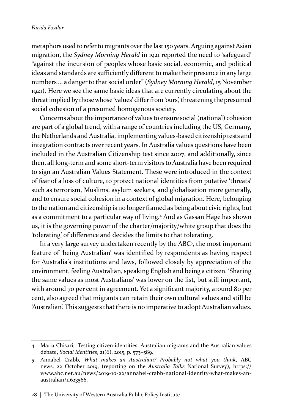metaphors used to refer to migrants over the last 150 years. Arguing against Asian migration, the *Sydney Morning Herald* in 1921 reported the need to 'safeguard' "against the incursion of peoples whose basic social, economic, and political ideas and standards are sufficiently different to make their presence in any large numbers … a danger to that social order" (*Sydney Morning Herald*, 15 November 1921). Here we see the same basic ideas that are currently circulating about the threat implied by those whose 'values' differ from 'ours', threatening the presumed social cohesion of a presumed homogenous society.

Concerns about the importance of values to ensure social (national) cohesion are part of a global trend, with a range of countries including the US, Germany, the Netherlands and Australia, implementing values-based citizenship tests and integration contracts over recent years. In Australia values questions have been included in the Australian Citizenship test since 2007, and additionally, since then, all long-term and some short-term visitors to Australia have been required to sign an Australian Values Statement. These were introduced in the context of fear of a loss of culture, to protect national identities from putative 'threats' such as terrorism, Muslims, asylum seekers, and globalisation more generally, and to ensure social cohesion in a context of global migration. Here, belonging to the nation and citizenship is no longer framed as being about civic rights, but as a commitment to a particular way of living.<sup>4</sup> And as Gassan Hage has shown us, it is the governing power of the charter/majority/white group that does the 'tolerating' of difference and decides the limits to that tolerating.

In a very large survey undertaken recently by the ABC<sup>5</sup>, the most important feature of 'being Australian' was identified by respondents as having respect for Australia's institutions and laws, followed closely by appreciation of the environment, feeling Australian, speaking English and being a citizen. 'Sharing the same values as most Australians' was lower on the list, but still important, with around 70 per cent in agreement. Yet a significant majority, around 80 per cent, also agreed that migrants can retain their own cultural values and still be 'Australian'. This suggests that there is no imperative to adopt Australian values.

<sup>4</sup> Maria Chisari, 'Testing citizen identities: Australian migrants and the Australian values debate', *Social Identities*, 21(6), 2015, p. 573–589.

<sup>5</sup> Annabel Crabb, *What makes an Australian? Probably not what you think*, ABC news, 22 October 2019, (reporting on the *Australia Talks* National Survey), https:// www.abc.net.au/news/2019-10-22/annabel-crabb-national-identity-what-makes-anaustralian/11623566.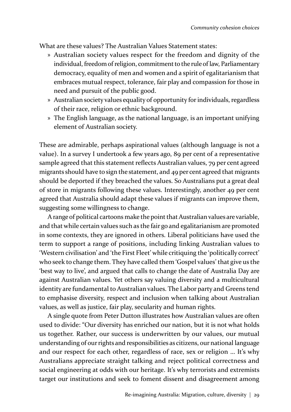What are these values? The Australian Values Statement states:

- » Australian society values respect for the freedom and dignity of the individual, freedom of religion, commitment to the rule of law, Parliamentary democracy, equality of men and women and a spirit of egalitarianism that embraces mutual respect, tolerance, fair play and compassion for those in need and pursuit of the public good.
- » Australian society values equality of opportunity for individuals, regardless of their race, religion or ethnic background.
- » The English language, as the national language, is an important unifying element of Australian society.

These are admirable, perhaps aspirational values (although language is not a value). In a survey I undertook a few years ago, 89 per cent of a representative sample agreed that this statement reflects Australian values, 79 per cent agreed migrants should have to sign the statement, and 49 per cent agreed that migrants should be deported if they breached the values. So Australians put a great deal of store in migrants following these values. Interestingly, another 49 per cent agreed that Australia should adapt these values if migrants can improve them, suggesting some willingness to change.

A range of political cartoons make the point that Australian values are variable, and that while certain values such as the fair go and egalitarianism are promoted in some contexts, they are ignored in others. Liberal politicians have used the term to support a range of positions, including linking Australian values to 'Western civilisation' and 'the First Fleet' while critiquing the 'politically correct' who seek to change them. They have called them 'Gospel values' that give us the 'best way to live', and argued that calls to change the date of Australia Day are against Australian values. Yet others say valuing diversity and a multicultural identity are fundamental to Australian values. The Labor party and Greens tend to emphasise diversity, respect and inclusion when talking about Australian values, as well as justice, fair play, secularity and human rights.

A single quote from Peter Dutton illustrates how Australian values are often used to divide: "Our diversity has enriched our nation, but it is not what holds us together. Rather, our success is underwritten by our values, our mutual understanding of our rights and responsibilities as citizens, our national language and our respect for each other, regardless of race, sex or religion … It's why Australians appreciate straight talking and reject political correctness and social engineering at odds with our heritage. It's why terrorists and extremists target our institutions and seek to foment dissent and disagreement among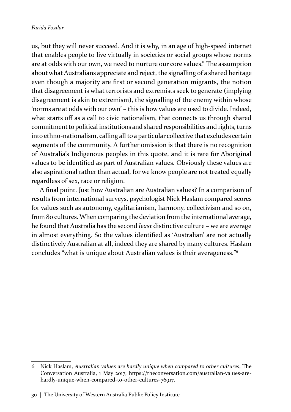us, but they will never succeed. And it is why, in an age of high-speed internet that enables people to live virtually in societies or social groups whose norms are at odds with our own, we need to nurture our core values." The assumption about what Australians appreciate and reject, the signalling of a shared heritage even though a majority are first or second generation migrants, the notion that disagreement is what terrorists and extremists seek to generate (implying disagreement is akin to extremism), the signalling of the enemy within whose 'norms are at odds with our own' – this is how values are used to divide. Indeed, what starts off as a call to civic nationalism, that connects us through shared commitment to political institutions and shared responsibilities and rights, turns into ethno-nationalism, calling all to a particular collective that excludes certain segments of the community. A further omission is that there is no recognition of Australia's Indigenous peoples in this quote, and it is rare for Aboriginal values to be identified as part of Australian values. Obviously these values are also aspirational rather than actual, for we know people are not treated equally regardless of sex, race or religion.

A final point. Just how Australian are Australian values? In a comparison of results from international surveys, psychologist Nick Haslam compared scores for values such as autonomy, egalitarianism, harmony, collectivism and so on, from 80 cultures. When comparing the deviation from the international average, he found that Australia has the second *least* distinctive culture – we are average in almost everything. So the values identified as 'Australian' are not actually distinctively Australian at all, indeed they are shared by many cultures. Haslam concludes "what is unique about Australian values is their averageness."6

<sup>6</sup> Nick Haslam, *Australian values are hardly unique when compared to other cultures*, The Conversation Australia, 1 May 2017, https://theconversation.com/australian-values-arehardly-unique-when-compared-to-other-cultures-76917.

<sup>30 |</sup> The University of Western Australia Public Policy Institute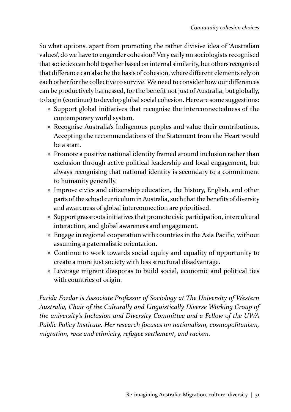So what options, apart from promoting the rather divisive idea of 'Australian values', do we have to engender cohesion? Very early on sociologists recognised that societies can hold together based on internal similarity, but others recognised that difference can also be the basis of cohesion, where different elements rely on each other for the collective to survive. We need to consider how our differences can be productively harnessed, for the benefit not just of Australia, but globally, to begin (continue) to develop global social cohesion. Here are some suggestions:

- » Support global initiatives that recognise the interconnectedness of the contemporary world system.
- » Recognise Australia's Indigenous peoples and value their contributions. Accepting the recommendations of the Statement from the Heart would be a start.
- » Promote a positive national identity framed around inclusion rather than exclusion through active political leadership and local engagement, but always recognising that national identity is secondary to a commitment to humanity generally.
- » Improve civics and citizenship education, the history, English, and other parts of the school curriculum in Australia, such that the benefits of diversity and awareness of global interconnection are prioritised.
- » Support grassroots initiatives that promote civic participation, intercultural interaction, and global awareness and engagement.
- » Engage in regional cooperation with countries in the Asia Pacific, without assuming a paternalistic orientation.
- » Continue to work towards social equity and equality of opportunity to create a more just society with less structural disadvantage.
- » Leverage migrant diasporas to build social, economic and political ties with countries of origin.

*Farida Fozdar is Associate Professor of Sociology at The University of Western Australia, Chair of the Culturally and Linguistically Diverse Working Group of the university's Inclusion and Diversity Committee and a Fellow of the UWA Public Policy Institute. Her research focuses on nationalism, cosmopolitanism, migration, race and ethnicity, refugee settlement, and racism.*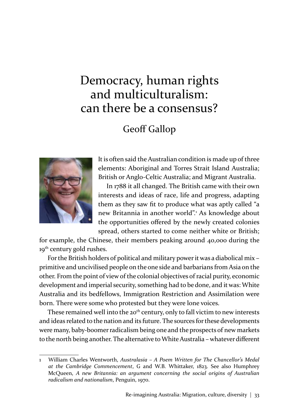### Democracy, human rights and multiculturalism: can there be a consensus?

### Geoff Gallop



It is often said the Australian condition is made up of three elements: Aboriginal and Torres Strait Island Australia; British or Anglo-Celtic Australia; and Migrant Australia.

In 1788 it all changed. The British came with their own interests and ideas of race, life and progress, adapting them as they saw fit to produce what was aptly called "a new Britannia in another world".<sup>1</sup> As knowledge about the opportunities offered by the newly created colonies spread, others started to come neither white or British;

for example, the Chinese, their members peaking around 40,000 during the 19<sup>th</sup> century gold rushes.

For the British holders of political and military power it was a diabolical mix – primitive and uncivilised people on the one side and barbarians from Asia on the other. From the point of view of the colonial objectives of racial purity, economic development and imperial security, something had to be done, and it was: White Australia and its bedfellows, Immigration Restriction and Assimilation were born. There were some who protested but they were lone voices.

These remained well into the 20<sup>th</sup> century, only to fall victim to new interests and ideas related to the nation and its future. The sources for these developments were many, baby-boomer radicalism being one and the prospects of new markets to the north being another. The alternative to White Australia – whatever different

<sup>1</sup> William Charles Wentworth, *Australasia – A Poem Written for The Chancellor's Medal at the Cambridge Commencement*, G and W.B. Whittaker, 1823. See also Humphrey McQueen, *A new Britannia: an argument concerning the social origins of Australian radicalism and nationalism*, Penguin, 1970.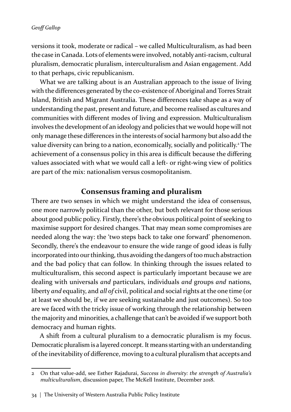#### *Geoff Gallop*

versions it took, moderate or radical – we called Multiculturalism, as had been the case in Canada. Lots of elements were involved, notably anti-racism, cultural pluralism, democratic pluralism, interculturalism and Asian engagement. Add to that perhaps, civic republicanism.

What we are talking about is an Australian approach to the issue of living with the differences generated by the co-existence of Aboriginal and Torres Strait Island, British and Migrant Australia. These differences take shape as a way of understanding the past, present and future, and become realised as cultures and communities with different modes of living and expression. Multiculturalism involves the development of an ideology and policies that we would hope will not only manage these differences in the interests of social harmony but also add the value diversity can bring to a nation, economically, socially and politically.<sup>2</sup> The achievement of a consensus policy in this area is difficult because the differing values associated with what we would call a left- or right-wing view of politics are part of the mix: nationalism versus cosmopolitanism.

### **Consensus framing and pluralism**

There are two senses in which we might understand the idea of consensus, one more narrowly political than the other, but both relevant for those serious about good public policy. Firstly, there's the obvious political point of seeking to maximise support for desired changes. That may mean some compromises are needed along the way: the 'two steps back to take one forward' phenomenon. Secondly, there's the endeavour to ensure the wide range of good ideas is fully incorporated into our thinking, thus avoiding the dangers of too much abstraction and the bad policy that can follow. In thinking through the issues related to multiculturalism, this second aspect is particularly important because we are dealing with universals *and* particulars, individuals *and* groups *and* nations, liberty *and* equality, and *all of* civil, political and social rights at the one time (or at least we should be, if we are seeking sustainable and just outcomes). So too are we faced with the tricky issue of working through the relationship between the majority and minorities, a challenge that can't be avoided if we support both democracy and human rights.

A shift from a cultural pluralism to a democratic pluralism is my focus. Democratic pluralism is a layered concept. It means starting with an understanding of the inevitability of difference, moving to a cultural pluralism that accepts and

<sup>2</sup> On that value-add, see Esther Rajadurai, *Success in diversity: the strength of Australia's multiculturalism*, discussion paper, The McKell Institute, December 2018.

<sup>34 |</sup> The University of Western Australia Public Policy Institute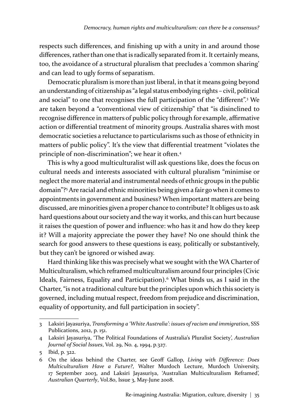respects such differences, and finishing up with a unity in and around those differences, rather than one that is radically separated from it. It certainly means, too, the avoidance of a structural pluralism that precludes a 'common sharing' and can lead to ugly forms of separatism.

Democratic pluralism is more than just liberal, in that it means going beyond an understanding of citizenship as "a legal status embodying rights – civil, political and social" to one that recognises the full participation of the "different".<sup>3</sup> We are taken beyond a "conventional view of citizenship" that "is disinclined to recognise difference in matters of public policy through for example, affirmative action or differential treatment of minority groups. Australia shares with most democratic societies a reluctance to particularisms such as those of ethnicity in matters of public policy". It's the view that differential treatment "violates the principle of non-discrimination"; we hear it often.<sup>4</sup>

This is why a good multiculturalist will ask questions like, does the focus on cultural needs and interests associated with cultural pluralism "minimise or neglect the more material and instrumental needs of ethnic groups in the public domain"?<sup>5</sup> Are racial and ethnic minorities being given a fair go when it comes to appointments in government and business? When important matters are being discussed, are minorities given a proper chance to contribute? It obliges us to ask hard questions about our society and the way it works, and this can hurt because it raises the question of power and influence: who has it and how do they keep it? Will a majority appreciate the power they have? No one should think the search for good answers to these questions is easy, politically or substantively, but they can't be ignored or wished away.

Hard thinking like this was precisely what we sought with the WA Charter of Multiculturalism, which reframed multiculturalism around four principles (Civic Ideals, Fairness, Equality and Participation).<sup>6</sup> What binds us, as I said in the Charter, "is not a traditional culture but the principles upon which this society is governed, including mutual respect, freedom from prejudice and discrimination, equality of opportunity, and full participation in society".

<sup>3</sup> Laksiri Jayasuriya, *Transforming a 'White Australia': issues of racism and immigration*, SSS Publications, 2012, p. 151.

<sup>4</sup> Laksiri Jayasuriya, 'The Political Foundations of Australia's Pluralist Society', *Australian Journal of Social Issues*, Vol. 29, No. 4, 1994, p.327.

<sup>5</sup> Ibid, p. 322.

<sup>6</sup> On the ideas behind the Charter, see Geoff Gallop, *Living with Difference: Does Multiculturalism Have a Future?*, Walter Murdoch Lecture, Murdoch University, 17 September 2003, and Laksiri Jayasuriya, 'Australian Multiculturalism Reframed', *Australian Quarterly*, Vol.80, Issue 3, May-June 2008.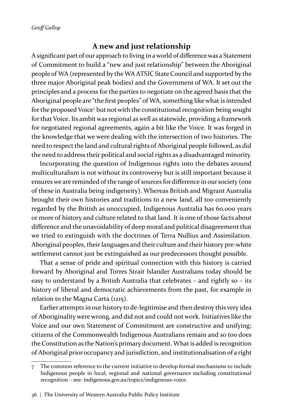### **A new and just relationship**

A significant part of our approach to living in a world of difference was a Statement of Commitment to build a "new and just relationship" between the Aboriginal people of WA (represented by the WA ATSIC State Council and supported by the three major Aboriginal peak bodies) and the Government of WA. It set out the principles and a process for the parties to negotiate on the agreed basis that the Aboriginal people are "the first peoples" of WA, something like what is intended for the proposed Voice<sup>7</sup> but not with the constitutional recognition being sought for that Voice. Its ambit was regional as well as statewide, providing a framework for negotiated regional agreements, again a bit like the Voice. It was forged in the knowledge that we were dealing with the intersection of two histories. The need to respect the land and cultural rights of Aboriginal people followed, as did the need to address their political and social rights as a disadvantaged minority.

Incorporating the question of Indigenous rights into the debates around multiculturalism is not without its controversy but is still important because it ensures we are reminded of the range of sources for difference in our society (one of these in Australia being indigeneity). Whereas British and Migrant Australia brought their own histories and traditions to a new land, all too conveniently regarded by the British as unoccupied, Indigenous Australia has 60,000 years or more of history and culture related to that land. It is one of those facts about difference and the unavoidability of deep moral and political disagreement that we tried to extinguish with the doctrines of Terra Nullius and Assimilation. Aboriginal peoples, their languages and their culture and their history pre-white settlement cannot just be extinguished as our predecessors thought possible.

That a sense of pride and spiritual connection with this history is carried forward by Aboriginal and Torres Strait Islander Australians today should be easy to understand by a British Australia that celebrates – and rightly so – its history of liberal and democratic achievements from the past, for example in relation to the Magna Carta (1215).

Earlier attempts in our history to de-legitimise and then destroy this very idea of Aboriginality were wrong, and did not and could not work. Initiatives like the Voice and our own Statement of Commitment are constructive and unifying; citizens of the Commonwealth Indigenous Australians remain and so too does the Constitution as the Nation's primary document. What is added is recognition of Aboriginal prior occupancy and jurisdiction, and institutionalisation of a right

<sup>7</sup> The common reference to the current initiative to develop formal mechanisms to include Indigenous people in local, regional and national governance including constitutional recognition – see: indigenous.gov.au/topics/indigenous-voice.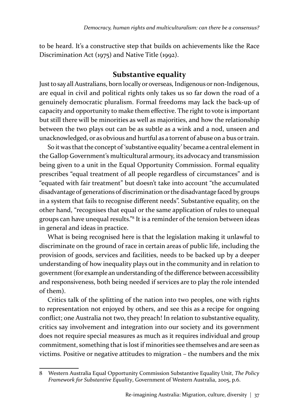to be heard. It's a constructive step that builds on achievements like the Race Discrimination Act (1975) and Native Title (1992).

#### **Substantive equality**

Just to say all Australians, born locally or overseas, Indigenous or non-Indigenous, are equal in civil and political rights only takes us so far down the road of a genuinely democratic pluralism. Formal freedoms may lack the back-up of capacity and opportunity to make them effective. The right to vote is important but still there will be minorities as well as majorities, and how the relationship between the two plays out can be as subtle as a wink and a nod, unseen and unacknowledged, or as obvious and hurtful as a torrent of abuse on a bus or train.

So it was that the concept of 'substantive equality' became a central element in the Gallop Government's multicultural armoury, its advocacy and transmission being given to a unit in the Equal Opportunity Commission. Formal equality prescribes "equal treatment of all people regardless of circumstances" and is "equated with fair treatment" but doesn't take into account "the accumulated disadvantage of generations of discrimination or the disadvantage faced by groups in a system that fails to recognise different needs". Substantive equality, on the other hand, "recognises that equal or the same application of rules to unequal groups can have unequal results."8 It is a reminder of the tension between ideas in general and ideas in practice.

What is being recognised here is that the legislation making it unlawful to discriminate on the ground of race in certain areas of public life, including the provision of goods, services and facilities, needs to be backed up by a deeper understanding of how inequality plays out in the community and in relation to government (for example an understanding of the difference between accessibility and responsiveness, both being needed if services are to play the role intended of them).

Critics talk of the splitting of the nation into two peoples, one with rights to representation not enjoyed by others, and see this as a recipe for ongoing conflict; one Australia not two, they preach! In relation to substantive equality, critics say involvement and integration into our society and its government does not require special measures as much as it requires individual and group commitment, something that is lost if minorities see themselves and are seen as victims. Positive or negative attitudes to migration – the numbers and the mix

<sup>8</sup> Western Australia Equal Opportunity Commission Substantive Equality Unit, *The Policy Framework for Substantive Equality*, Government of Western Australia, 2005, p.6.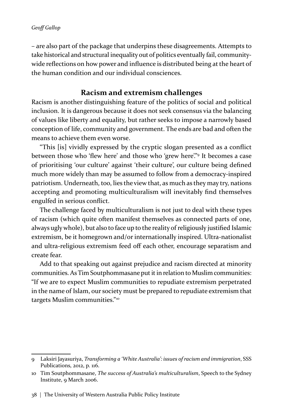– are also part of the package that underpins these disagreements. Attempts to take historical and structural inequality out of politics eventually fail, communitywide reflections on how power and influence is distributed being at the heart of the human condition and our individual consciences.

#### **Racism and extremism challenges**

Racism is another distinguishing feature of the politics of social and political inclusion. It is dangerous because it does not seek consensus via the balancing of values like liberty and equality, but rather seeks to impose a narrowly based conception of life, community and government. The ends are bad and often the means to achieve them even worse.

"This [is] vividly expressed by the cryptic slogan presented as a conflict between those who 'flew here' and those who 'grew here'."9 It becomes a case of prioritising 'our culture' against 'their culture', our culture being defined much more widely than may be assumed to follow from a democracy-inspired patriotism. Underneath, too, lies the view that, as much as they may try, nations accepting and promoting multiculturalism will inevitably find themselves engulfed in serious conflict.

The challenge faced by multiculturalism is not just to deal with these types of racism (which quite often manifest themselves as connected parts of one, always ugly whole), but also to face up to the reality of religiously justified Islamic extremism, be it homegrown and/or internationally inspired. Ultra-nationalist and ultra-religious extremism feed off each other, encourage separatism and create fear.

Add to that speaking out against prejudice and racism directed at minority communities. As Tim Soutphommasane put it in relation to Muslim communities: "If we are to expect Muslim communities to repudiate extremism perpetrated in the name of Islam, our society must be prepared to repudiate extremism that targets Muslim communities."10

<sup>9</sup> Laksiri Jayasuriya, *Transforming a 'White Australia': issues of racism and immigration*, SSS Publications, 2012, p. 116.

<sup>10</sup> Tim Soutphommasane, *The success of Australia's multiculturalism*, Speech to the Sydney Institute, 9 March 2006.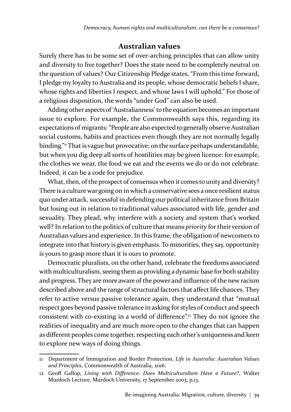#### **Australian values**

Surely there has to be some set of over-arching principles that can allow unity and diversity to live together? Does the state need to be completely neutral on the question of values? Our Citizenship Pledge states, "From this time forward, I pledge my loyalty to Australia and its people, whose democratic beliefs I share, whose rights and liberties I respect, and whose laws I will uphold." For those of a religious disposition, the words "under God" can also be used.

Adding other aspects of 'Australianness' to the equation becomes an important issue to explore. For example, the Commonwealth says this, regarding its expectations of migrants: "People are also expected to generally observe Australian social customs, habits and practices even though they are not normally legally binding." That is vague but provocative; on the surface perhaps understandable, but when you dig deep all sorts of hostilities may be given licence: for example, the clothes we wear, the food we eat and the events we do or do not celebrate. Indeed, it can be a code for prejudice.

What, then, of the prospect of consensus when it comes to unity and diversity? There is a culture war going on in which a conservative sees a once resilient status quo under attack, successful in defending our political inheritance from Britain but losing out in relation to traditional values associated with life, gender and sexuality. They plead, why interfere with a society and system that's worked well? In relation to the politics of culture that means *priority* for their version of Australian values and experience. In this frame, the obligation of newcomers to integrate into that history is given emphasis. To minorities, they say, opportunity is yours to grasp more than it is ours to promote.

Democratic pluralists, on the other hand, celebrate the freedoms associated with multiculturalism, seeing them as providing a dynamic base for both stability and progress. They are more aware of the power and influence of the new racism described above and the range of structural factors that affect life chances. They refer to active versus passive tolerance again, they understand that "mutual respect goes beyond passive tolerance in asking for styles of conduct and speech consistent with co-existing in a world of difference".12 They do not ignore the realities of inequality and are much more open to the changes that can happen as different peoples come together, respecting each other's uniqueness and keen to explore new ways of doing things.

<sup>11</sup> Department of Immigration and Border Protection, *Life in Australia: Australian Values and Principles*, Commonwealth of Australia, 2016.

<sup>12</sup> Geoff Gallop, *Living with Difference: Does Multiculturalism Have a Future?*, Walter Murdoch Lecture, Murdoch University, 17 September 2003, p.13.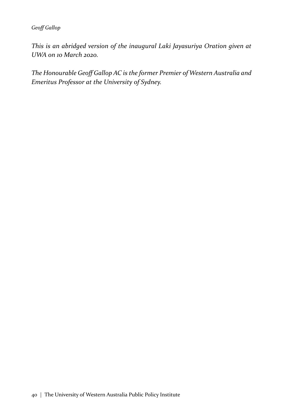#### *Geoff Gallop*

*This is an abridged version of the inaugural Laki Jayasuriya Oration given at UWA on 10 March 2020.*

*The Honourable Geoff Gallop AC is the former Premier of Western Australia and Emeritus Professor at the University of Sydney.*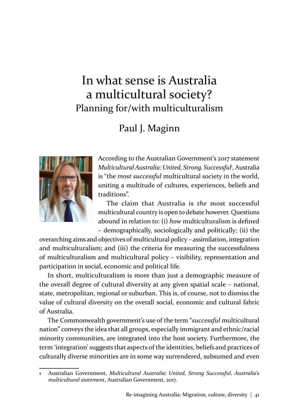# In what sense is Australia a multicultural society? Planning for/with multiculturalism

# Paul J. Maginn



According to the Australian Government's 2017 statement Multicultural Australia: United, Strong, Successful<sup>,</sup> Australia is "the *most successful* multicultural society in the world, uniting a multitude of cultures, experiences, beliefs and traditions".

The claim that Australia is *the* most successful multicultural country is open to debate however. Questions abound in relation to: (i) *how* multiculturalism is defined – demographically, sociologically and politically; (ii) the

overarching aims and objectives of multicultural policy – assimilation, integration and multiculturalism; and (iii) the criteria for measuring the successfulness of multiculturalism and multicultural policy – visibility, representation and participation in social, economic and political life.

In short, multiculturalism is more than just a demographic measure of the overall degree of cultural diversity at any given spatial scale – national, state, metropolitan, regional or suburban. This is, of course, not to dismiss the value of cultural diversity on the overall social, economic and cultural fabric of Australia.

The Commonwealth government's use of the term "*successful* multicultural nation" conveys the idea that all groups, especially immigrant and ethnic/racial minority communities, are integrated into the host society. Furthermore, the term 'integration' suggests that aspects of the identities, beliefs and practices of culturally diverse minorities are in some way surrendered, subsumed and even

<sup>1</sup> Australian Government, *Multicultural Australia: United, Strong Successful, Australia's multicultural statement*, Australian Government, 2017.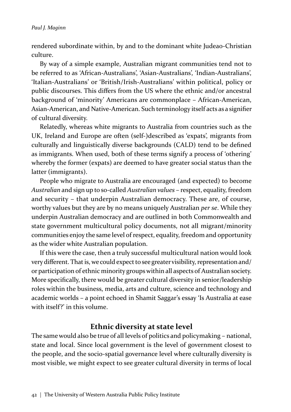rendered subordinate within, by and to the dominant white Judeao-Christian culture.

By way of a simple example, Australian migrant communities tend not to be referred to as 'African-Australians', 'Asian-Australians', 'Indian-Australians', 'Italian-Australians' or 'British/Irish-Australians' within political, policy or public discourses. This differs from the US where the ethnic and/or ancestral background of 'minority' Americans are commonplace – African-American, Asian-American, and Native-American. Such terminology itself acts as a signifier of cultural diversity.

Relatedly, whereas white migrants to Australia from countries such as the UK, Ireland and Europe are often (self-)described as 'expats', migrants from culturally and linguistically diverse backgrounds (CALD) tend to be defined as immigrants. When used, both of these terms signify a process of 'othering' whereby the former (expats) are deemed to have greater social status than the latter (immigrants).

People who migrate to Australia are encouraged (and expected) to become *Australian* and sign up to so-called *Australian values* – respect, equality, freedom and security – that underpin Australian democracy. These are, of course, worthy values but they are by no means uniquely Australian *per se*. While they underpin Australian democracy and are outlined in both Commonwealth and state government multicultural policy documents, not all migrant/minority communities enjoy the same level of respect, equality, freedom and opportunity as the wider white Australian population.

If this were the case, then a truly successful multicultural nation would look very different. That is, we could expect to see greater visibility, representation and/ or participation of ethnic minority groups within all aspects of Australian society. More specifically, there would be greater cultural diversity in senior/leadership roles within the business, media, arts and culture, science and technology and academic worlds – a point echoed in Shamit Saggar's essay 'Is Australia at ease with itself?' in this volume.

### **Ethnic diversity at state level**

The same would also be true of all levels of politics and policymaking – national, state and local. Since local government is the level of government closest to the people, and the socio-spatial governance level where culturally diversity is most visible, we might expect to see greater cultural diversity in terms of local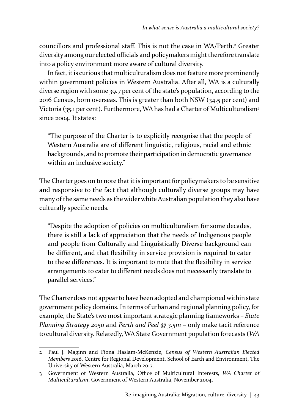councillors and professional staff. This is not the case in WA/Perth.<sup>2</sup> Greater diversity among our elected officials and policymakers might therefore translate into a policy environment more aware of cultural diversity.

In fact, it is curious that multiculturalism does not feature more prominently within government policies in Western Australia. After all, WA is a culturally diverse region with some 39.7 per cent of the state's population, according to the 2016 Census, born overseas. This is greater than both NSW (34.5 per cent) and Victoria (35.1 per cent). Furthermore, WA has had a Charter of Multiculturalism<sup>3</sup> since 2004. It states:

"The purpose of the Charter is to explicitly recognise that the people of Western Australia are of different linguistic, religious, racial and ethnic backgrounds, and to promote their participation in democratic governance within an inclusive society."

The Charter goes on to note that it is important for policymakers to be sensitive and responsive to the fact that although culturally diverse groups may have many of the same needs as the wider white Australian population they also have culturally specific needs.

"Despite the adoption of policies on multiculturalism for some decades, there is still a lack of appreciation that the needs of Indigenous people and people from Culturally and Linguistically Diverse background can be different, and that flexibility in service provision is required to cater to these differences. It is important to note that the flexibility in service arrangements to cater to different needs does not necessarily translate to parallel services."

The Charter does not appear to have been adopted and championed within state government policy domains. In terms of urban and regional planning policy, for example, the State's two most important strategic planning frameworks – *State Planning Strategy 2050* and *Perth and Peel @ 3.5m* – only make tacit reference to cultural diversity. Relatedly, WA State Government population forecasts (*WA* 

<sup>2</sup> Paul J. Maginn and Fiona Haslam-McKenzie, *Census of Western Australian Elected Members 2016*, Centre for Regional Development, School of Earth and Environment, The University of Western Australia, March 2017.

<sup>3</sup> Government of Western Australia, Office of Multicultural Interests, *WA Charter of Multiculturalism*, Government of Western Australia, November 2004.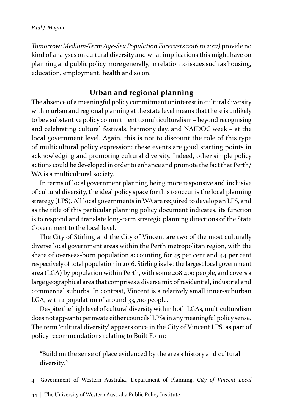*Tomorrow: Medium-Term Age-Sex Population Forecasts 2016 to 2031)* provide no kind of analyses on cultural diversity and what implications this might have on planning and public policy more generally, in relation to issues such as housing, education, employment, health and so on.

## **Urban and regional planning**

The absence of a meaningful policy commitment or interest in cultural diversity within urban and regional planning at the state level means that there is unlikely to be a substantive policy commitment to multiculturalism – beyond recognising and celebrating cultural festivals, harmony day, and NAIDOC week – at the local government level. Again, this is not to discount the role of this type of multicultural policy expression; these events are good starting points in acknowledging and promoting cultural diversity. Indeed, other simple policy actions could be developed in order to enhance and promote the fact that Perth/ WA is a multicultural society.

In terms of local government planning being more responsive and inclusive of cultural diversity, the ideal policy space for this to occur is the local planning strategy (LPS). All local governments in WA are required to develop an LPS, and as the title of this particular planning policy document indicates, its function is to respond and translate long-term strategic planning directions of the State Government to the local level.

The City of Stirling and the City of Vincent are two of the most culturally diverse local government areas within the Perth metropolitan region, with the share of overseas-born population accounting for 45 per cent and 44 per cent respectively of total population in 2016. Stirling is also the largest local government area (LGA) by population within Perth, with some 208,400 people, and covers a large geographical area that comprises a diverse mix of residential, industrial and commercial suburbs. In contrast, Vincent is a relatively small inner-suburban LGA, with a population of around 33,700 people.

Despite the high level of cultural diversity within both LGAs, multiculturalism does not appear to permeate either councils' LPSs in any meaningful policy sense. The term 'cultural diversity' appears once in the City of Vincent LPS, as part of policy recommendations relating to Built Form:

"Build on the sense of place evidenced by the area's history and cultural diversity."<sup>4</sup>

<sup>4</sup> Government of Western Australia, Department of Planning, *City of Vincent Local* 

<sup>44</sup>  $\mid$  The University of Western Australia Public Policy Institute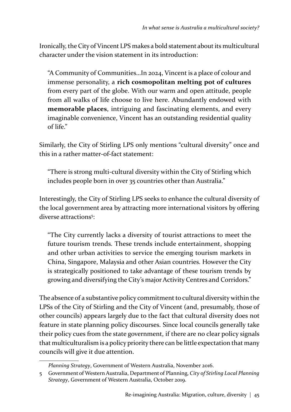Ironically, the City of Vincent LPS makes a bold statement about its multicultural character under the vision statement in its introduction:

"A Community of Communities…In 2024, Vincent is a place of colour and immense personality, a **rich cosmopolitan melting pot of cultures**  from every part of the globe. With our warm and open attitude, people from all walks of life choose to live here. Abundantly endowed with **memorable places**, intriguing and fascinating elements, and every imaginable convenience, Vincent has an outstanding residential quality of life."

Similarly, the City of Stirling LPS only mentions "cultural diversity" once and this in a rather matter-of-fact statement:

"There is strong multi-cultural diversity within the City of Stirling which includes people born in over 35 countries other than Australia."

Interestingly, the City of Stirling LPS seeks to enhance the cultural diversity of the local government area by attracting more international visitors by offering diverse attractions<sup>5</sup>:

"The City currently lacks a diversity of tourist attractions to meet the future tourism trends. These trends include entertainment, shopping and other urban activities to service the emerging tourism markets in China, Singapore, Malaysia and other Asian countries. However the City is strategically positioned to take advantage of these tourism trends by growing and diversifying the City's major Activity Centres and Corridors."

The absence of a substantive policy commitment to cultural diversity within the LPSs of the City of Stirling and the City of Vincent (and, presumably, those of other councils) appears largely due to the fact that cultural diversity does not feature in state planning policy discourses. Since local councils generally take their policy cues from the state government, if there are no clear policy signals that multiculturalism is a policy priority there can be little expectation that many councils will give it due attention.

*Planning Strategy*, Government of Western Australia, November 2016.

<sup>5</sup> Government of Western Australia, Department of Planning, *City of Stirling Local Planning Strategy*, Government of Western Australia, October 2019.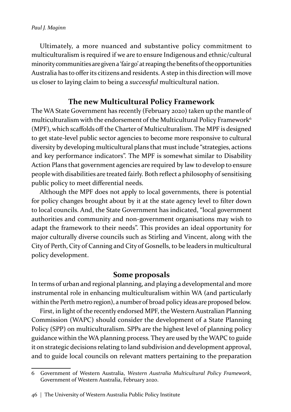Ultimately, a more nuanced and substantive policy commitment to multiculturalism is required if we are to ensure Indigenous and ethnic/cultural minority communities are given a 'fair go' at reaping the benefits of the opportunities Australia has to offer its citizens and residents. A step in this direction will move us closer to laying claim to being a *successful* multicultural nation.

### **The new Multicultural Policy Framework**

The WA State Government has recently (February 2020) taken up the mantle of multiculturalism with the endorsement of the Multicultural Policy Framework<sup>6</sup> (MPF), which scaffolds off the Charter of Multiculturalism. The MPF is designed to get state-level public sector agencies to become more responsive to cultural diversity by developing multicultural plans that must include "strategies, actions and key performance indicators". The MPF is somewhat similar to Disability Action Plans that government agencies are required by law to develop to ensure people with disabilities are treated fairly. Both reflect a philosophy of sensitising public policy to meet differential needs.

Although the MPF does not apply to local governments, there is potential for policy changes brought about by it at the state agency level to filter down to local councils. And, the State Government has indicated, "local government authorities and community and non-government organisations may wish to adapt the framework to their needs". This provides an ideal opportunity for major culturally diverse councils such as Stirling and Vincent, along with the City of Perth, City of Canning and City of Gosnells, to be leaders in multicultural policy development.

#### **Some proposals**

In terms of urban and regional planning, and playing a developmental and more instrumental role in enhancing multiculturalism within WA (and particularly within the Perth metro region), a number of broad policy ideas are proposed below.

First, in light of the recently endorsed MPF, the Western Australian Planning Commission (WAPC) should consider the development of a State Planning Policy (SPP) on multiculturalism. SPPs are the highest level of planning policy guidance within the WA planning process. They are used by the WAPC to guide it on strategic decisions relating to land subdivision and development approval, and to guide local councils on relevant matters pertaining to the preparation

<sup>6</sup> Government of Western Australia, *Western Australia Multicultural Policy Framework*, Government of Western Australia, February 2020.

<sup>46 |</sup> The University of Western Australia Public Policy Institute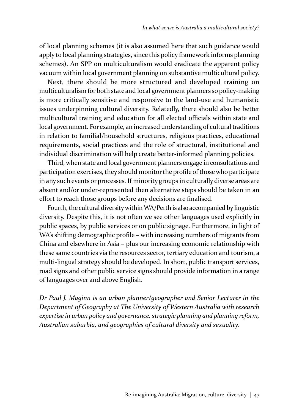of local planning schemes (it is also assumed here that such guidance would apply to local planning strategies, since this policy framework informs planning schemes). An SPP on multiculturalism would eradicate the apparent policy vacuum within local government planning on substantive multicultural policy.

Next, there should be more structured and developed training on multiculturalism for both state and local government planners so policy-making is more critically sensitive and responsive to the land-use and humanistic issues underpinning cultural diversity. Relatedly, there should also be better multicultural training and education for all elected officials within state and local government. For example, an increased understanding of cultural traditions in relation to familial/household structures, religious practices, educational requirements, social practices and the role of structural, institutional and individual discrimination will help create better-informed planning policies.

Third, when state and local government planners engage in consultations and participation exercises, they should monitor the profile of those who participate in any such events or processes. If minority groups in culturally diverse areas are absent and/or under-represented then alternative steps should be taken in an effort to reach those groups before any decisions are finalised.

Fourth, the cultural diversity within WA/Perth is also accompanied by linguistic diversity. Despite this, it is not often we see other languages used explicitly in public spaces, by public services or on public signage. Furthermore, in light of WA's shifting demographic profile – with increasing numbers of migrants from China and elsewhere in Asia – plus our increasing economic relationship with these same countries via the resources sector, tertiary education and tourism, a multi-lingual strategy should be developed. In short, public transport services, road signs and other public service signs should provide information in a range of languages over and above English.

*Dr Paul J. Maginn is an urban planner/geographer and Senior Lecturer in the Department of Geography at The University of Western Australia with research expertise in urban policy and governance, strategic planning and planning reform, Australian suburbia, and geographies of cultural diversity and sexuality.*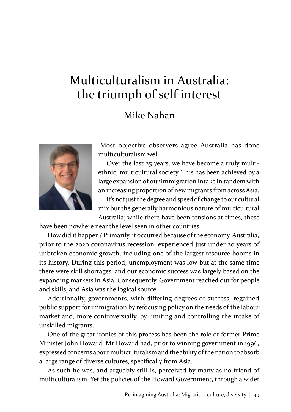# Multiculturalism in Australia: the triumph of self interest

# Mike Nahan



Most objective observers agree Australia has done multiculturalism well.

Over the last 25 years, we have become a truly multiethnic, multicultural society. This has been achieved by a large expansion of our immigration intake in tandem with an increasing proportion of new migrants from across Asia.

It's not just the degree and speed of change to our cultural mix but the generally harmonious nature of multicultural Australia; while there have been tensions at times, these

have been nowhere near the level seen in other countries.

How did it happen? Primarily, it occurred because of the economy. Australia, prior to the 2020 coronavirus recession, experienced just under 20 years of unbroken economic growth, including one of the largest resource booms in its history. During this period, unemployment was low but at the same time there were skill shortages, and our economic success was largely based on the expanding markets in Asia. Consequently, Government reached out for people and skills, and Asia was the logical source.

Additionally, governments, with differing degrees of success, regained public support for immigration by refocusing policy on the needs of the labour market and, more controversially, by limiting and controlling the intake of unskilled migrants.

One of the great ironies of this process has been the role of former Prime Minister John Howard. Mr Howard had, prior to winning government in 1996, expressed concerns about multiculturalism and the ability of the nation to absorb a large range of diverse cultures, specifically from Asia.

As such he was, and arguably still is, perceived by many as no friend of multiculturalism. Yet the policies of the Howard Government, through a wider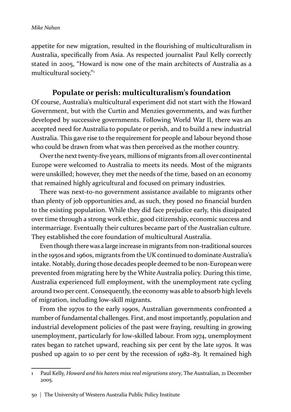appetite for new migration, resulted in the flourishing of multiculturalism in Australia, specifically from Asia. As respected journalist Paul Kelly correctly stated in 2005, "Howard is now one of the main architects of Australia as a multicultural society."1

### **Populate or perish: multiculturalism's foundation**

Of course, Australia's multicultural experiment did not start with the Howard Government, but with the Curtin and Menzies governments, and was further developed by successive governments. Following World War II, there was an accepted need for Australia to populate or perish, and to build a new industrial Australia. This gave rise to the requirement for people and labour beyond those who could be drawn from what was then perceived as the mother country.

Over the next twenty-five years, millions of migrants from all over continental Europe were welcomed to Australia to meets its needs. Most of the migrants were unskilled; however, they met the needs of the time, based on an economy that remained highly agricultural and focused on primary industries.

There was next-to-no government assistance available to migrants other than plenty of job opportunities and, as such, they posed no financial burden to the existing population. While they did face prejudice early, this dissipated over time through a strong work ethic, good citizenship, economic success and intermarriage. Eventually their cultures became part of the Australian culture. They established the core foundation of multicultural Australia.

Even though there was a large increase in migrants from non-traditional sources in the 1950s and 1960s, migrants from the UK continued to dominate Australia's intake. Notably, during those decades people deemed to be non-European were prevented from migrating here by the White Australia policy. During this time, Australia experienced full employment, with the unemployment rate cycling around two per cent. Consequently, the economy was able to absorb high levels of migration, including low-skill migrants.

From the 1970s to the early 1990s, Australian governments confronted a number of fundamental challenges. First, and most importantly, population and industrial development policies of the past were fraying, resulting in growing unemployment, particularly for low-skilled labour. From 1974, unemployment rates began to ratchet upward, reaching six per cent by the late 1970s. It was pushed up again to 10 per cent by the recession of 1982–83. It remained high

<sup>1</sup> Paul Kelly, *Howard and his haters miss real migrations story*, The Australian, 21 December 2005.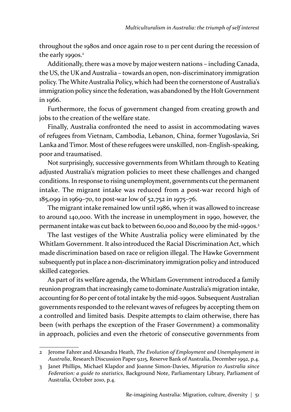throughout the 1980s and once again rose to 11 per cent during the recession of the early 1990s.<sup>2</sup>

Additionally, there was a move by major western nations – including Canada, the US, the UK and Australia – towards an open, non-discriminatory immigration policy. The White Australia Policy, which had been the cornerstone of Australia's immigration policy since the federation, was abandoned by the Holt Government in 1966.

Furthermore, the focus of government changed from creating growth and jobs to the creation of the welfare state.

Finally, Australia confronted the need to assist in accommodating waves of refugees from Vietnam, Cambodia, Lebanon, China, former Yugoslavia, Sri Lanka and Timor. Most of these refugees were unskilled, non-English-speaking, poor and traumatised.

Not surprisingly, successive governments from Whitlam through to Keating adjusted Australia's migration policies to meet these challenges and changed conditions. In response to rising unemployment, governments cut the permanent intake. The migrant intake was reduced from a post-war record high of 185,099 in 1969–70, to post-war low of 52,752 in 1975–76.

The migrant intake remained low until 1986, when it was allowed to increase to around 140,000. With the increase in unemployment in 1990, however, the permanent intake was cut back to between 60,000 and 80,000 by the mid-1990s.<sup>3</sup>

The last vestiges of the White Australia policy were eliminated by the Whitlam Government. It also introduced the Racial Discrimination Act, which made discrimination based on race or religion illegal. The Hawke Government subsequently put in place a non-discriminatory immigration policy and introduced skilled categories.

As part of its welfare agenda, the Whitlam Government introduced a family reunion program that increasingly came to dominate Australia's migration intake, accounting for 80 per cent of total intake by the mid-1990s. Subsequent Australian governments responded to the relevant waves of refugees by accepting them on a controlled and limited basis. Despite attempts to claim otherwise, there has been (with perhaps the exception of the Fraser Government) a commonality in approach, policies and even the rhetoric of consecutive governments from

<sup>2</sup> Jerome Fahrer and Alexandra Heath, *The Evolution of Employment and Unemployment in Australia*, Research Discussion Paper 9215, Reserve Bank of Australia, December 1992, p.4.

<sup>3</sup> Janet Phillips, Michael Klapdor and Joanne Simon-Davies, *Migration to Australia since Federation: a guide to statistics*, Background Note, Parliamentary Library, Parliament of Australia, October 2010, p.4.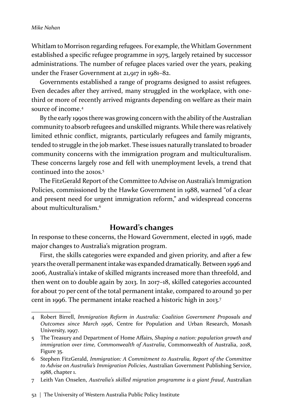Whitlam to Morrison regarding refugees. For example, the Whitlam Government established a specific refugee programme in 1975, largely retained by successor administrations. The number of refugee places varied over the years, peaking under the Fraser Government at 21,917 in 1981–82.

Governments established a range of programs designed to assist refugees. Even decades after they arrived, many struggled in the workplace, with onethird or more of recently arrived migrants depending on welfare as their main source of income.<sup>4</sup>

By the early 1990s there was growing concern with the ability of the Australian community to absorb refugees and unskilled migrants. While there was relatively limited ethnic conflict, migrants, particularly refugees and family migrants, tended to struggle in the job market. These issues naturally translated to broader community concerns with the immigration program and multiculturalism. These concerns largely rose and fell with unemployment levels, a trend that continued into the 2010s.<sup>5</sup>

The FitzGerald Report of the Committee to Advise on Australia's Immigration Policies, commissioned by the Hawke Government in 1988, warned "of a clear and present need for urgent immigration reform," and widespread concerns about multiculturalism<sup>6</sup>

#### **Howard's changes**

In response to these concerns, the Howard Government, elected in 1996, made major changes to Australia's migration program.

First, the skills categories were expanded and given priority, and after a few years the overall permanent intake was expanded dramatically. Between 1996 and 2006, Australia's intake of skilled migrants increased more than threefold, and then went on to double again by 2013. In 2017–18, skilled categories accounted for about 70 per cent of the total permanent intake, compared to around 30 per cent in 1996. The permanent intake reached a historic high in 2013.<sup>7</sup>

<sup>4</sup> Robert Birrell, *Immigration Reform in Australia: Coalition Government Proposals and Outcomes since March 1996*, Centre for Population and Urban Research, Monash University, 1997.

<sup>5</sup> The Treasury and Department of Home Affairs, *Shaping a nation: population growth and immigration over time, Commonwealth of Australia*, Commonwealth of Australia, 2018, Figure 35.

<sup>6</sup> Stephen FitzGerald, *Immigration: A Commitment to Australia, Report of the Committee to Advise on Australia's Immigration Policies*, Australian Government Publishing Service, 1988, chapter 1.

<sup>7</sup> Leith Van Onselen, *Australia's skilled migration programme is a giant fraud*, Australian

<sup>52 |</sup> The University of Western Australia Public Policy Institute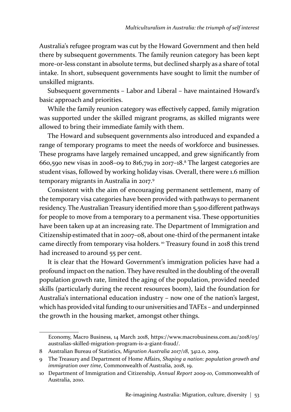Australia's refugee program was cut by the Howard Government and then held there by subsequent governments. The family reunion category has been kept more-or-less constant in absolute terms, but declined sharply as a share of total intake. In short, subsequent governments have sought to limit the number of unskilled migrants.

Subsequent governments – Labor and Liberal – have maintained Howard's basic approach and priorities.

While the family reunion category was effectively capped, family migration was supported under the skilled migrant programs, as skilled migrants were allowed to bring their immediate family with them.

The Howard and subsequent governments also introduced and expanded a range of temporary programs to meet the needs of workforce and businesses. These programs have largely remained uncapped, and grew significantly from 660,590 new visas in 2008–09 to 816,719 in 2017–18.8 The largest categories are student visas, followed by working holiday visas. Overall, there were 1.6 million temporary migrants in Australia in 2017.<sup>9</sup>

Consistent with the aim of encouraging permanent settlement, many of the temporary visa categories have been provided with pathways to permanent residency. The Australian Treasury identified more than 5,500 different pathways for people to move from a temporary to a permanent visa. These opportunities have been taken up at an increasing rate. The Department of Immigration and Citizenship estimated that in 2007–08, about one-third of the permanent intake came directly from temporary visa holders. 10 Treasury found in 2018 this trend had increased to around 55 per cent.

It is clear that the Howard Government's immigration policies have had a profound impact on the nation. They have resulted in the doubling of the overall population growth rate, limited the aging of the population, provided needed skills (particularly during the recent resources boom), laid the foundation for Australia's international education industry – now one of the nation's largest, which has provided vital funding to our universities and TAFEs – and underpinned the growth in the housing market, amongst other things.

Economy, Macro Business, 14 March 2018, https://www.macrobusiness.com.au/2018/03/ australias-skilled-migration-program-is-a-giant-fraud/.

<sup>8</sup> Australian Bureau of Statistics, *Migration Australia 2017/18*, 3412.0, 2019.

<sup>9</sup> The Treasury and Department of Home Affairs, *Shaping a nation: population growth and immigration over time*, Commonwealth of Australia, 2018, 19.

<sup>10</sup> Department of Immigration and Citizenship, *Annual Report 2009-10*, Commonwealth of Australia, 2010.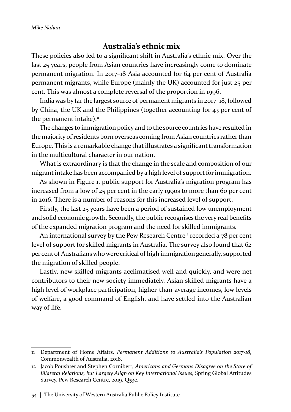#### **Australia's ethnic mix**

These policies also led to a significant shift in Australia's ethnic mix. Over the last 25 years, people from Asian countries have increasingly come to dominate permanent migration. In 2017–18 Asia accounted for 64 per cent of Australia permanent migrants, while Europe (mainly the UK) accounted for just 25 per cent. This was almost a complete reversal of the proportion in 1996.

India was by far the largest source of permanent migrants in 2017–18, followed by China, the UK and the Philippines (together accounting for 43 per cent of the permanent intake). $<sup>11</sup>$ </sup>

The changes to immigration policy and to the source countries have resulted in the majority of residents born overseas coming from Asian countries rather than Europe. This is a remarkable change that illustrates a significant transformation in the multicultural character in our nation.

What is extraordinary is that the change in the scale and composition of our migrant intake has been accompanied by a high level of support for immigration.

As shown in Figure 1, public support for Australia's migration program has increased from a low of 25 per cent in the early 1990s to more than 60 per cent in 2016. There is a number of reasons for this increased level of support.

Firstly, the last 25 years have been a period of sustained low unemployment and solid economic growth. Secondly, the public recognises the very real benefits of the expanded migration program and the need for skilled immigrants.

An international survey by the Pew Research Centre<sup>12</sup> recorded a 78 per cent level of support for skilled migrants in Australia. The survey also found that 62 per cent of Australians who were critical of high immigration generally, supported the migration of skilled people.

Lastly, new skilled migrants acclimatised well and quickly, and were net contributors to their new society immediately. Asian skilled migrants have a high level of workplace participation, higher-than-average incomes, low levels of welfare, a good command of English, and have settled into the Australian way of life.

<sup>11</sup> Department of Home Affairs, *Permanent Additions to Australia's Population 2017-18*, Commonwealth of Australia, 2018.

<sup>12</sup> Jacob Poushter and Stephen Cornibert, *Americans and Germans Disagree on the State of Bilateral Relations, but Largely Align on Key International Issues,* Spring Global Attitudes Survey, Pew Research Centre, 2019, Q53c.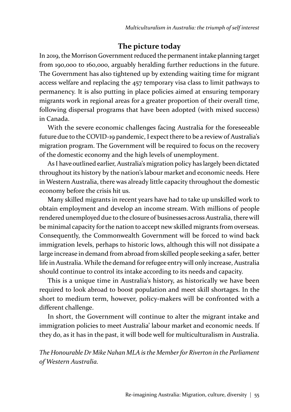#### **The picture today**

In 2019, the Morrison Government reduced the permanent intake planning target from 190,000 to 160,000, arguably heralding further reductions in the future. The Government has also tightened up by extending waiting time for migrant access welfare and replacing the 457 temporary visa class to limit pathways to permanency. It is also putting in place policies aimed at ensuring temporary migrants work in regional areas for a greater proportion of their overall time, following dispersal programs that have been adopted (with mixed success) in Canada.

With the severe economic challenges facing Australia for the foreseeable future due to the COVID-19 pandemic, I expect there to be a review of Australia's migration program. The Government will be required to focus on the recovery of the domestic economy and the high levels of unemployment.

As I have outlined earlier, Australia's migration policy has largely been dictated throughout its history by the nation's labour market and economic needs. Here in Western Australia, there was already little capacity throughout the domestic economy before the crisis hit us.

Many skilled migrants in recent years have had to take up unskilled work to obtain employment and develop an income stream. With millions of people rendered unemployed due to the closure of businesses across Australia, there will be minimal capacity for the nation to accept new skilled migrants from overseas. Consequently, the Commonwealth Government will be forced to wind back immigration levels, perhaps to historic lows, although this will not dissipate a large increase in demand from abroad from skilled people seeking a safer, better life in Australia. While the demand for refugee entry will only increase, Australia should continue to control its intake according to its needs and capacity.

This is a unique time in Australia's history, as historically we have been required to look abroad to boost population and meet skill shortages. In the short to medium term, however, policy-makers will be confronted with a different challenge.

In short, the Government will continue to alter the migrant intake and immigration policies to meet Australia' labour market and economic needs. If they do, as it has in the past, it will bode well for multiculturalism in Australia.

*The Honourable Dr Mike Nahan MLA is the Member for Riverton in the Parliament of Western Australia.*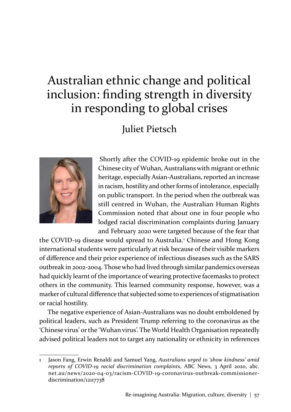# Australian ethnic change and political inclusion: finding strength in diversity in responding to global crises

Juliet Pietsch



Shortly after the COVID-19 epidemic broke out in the Chinese city of Wuhan, Australians with migrant or ethnic heritage, especially Asian-Australians, reported an increase in racism, hostility and other forms of intolerance, especially on public transport. In the period when the outbreak was still centred in Wuhan, the Australian Human Rights Commission noted that about one in four people who lodged racial discrimination complaints during January and February 2020 were targeted because of the fear that

the COVID-19 disease would spread to Australia.<sup>1</sup> Chinese and Hong Kong international students were particularly at risk because of their visible markers of difference and their prior experience of infectious diseases such as the SARS outbreak in 2002-2004. Those who had lived through similar pandemics overseas had quickly learnt of the importance of wearing protective facemasks to protect others in the community. This learned community response, however, was a marker of cultural difference that subjected some to experiences of stigmatisation or racial hostility.

The negative experience of Asian-Australians was no doubt emboldened by political leaders, such as President Trump referring to the coronavirus as the 'Chinese virus' or the 'Wuhan virus'. The World Health Organisation repeatedly advised political leaders not to target any nationality or ethnicity in references

<sup>1</sup> Jason Fang, Erwin Renaldi and Samuel Yang, *Australians urged to 'show kindness' amid reports of COVID-19 racial discrimination complaints*, ABC News, 3 April 2020, abc. net.au/news/2020-04-03/racism-COVID-19-coronavirus-outbreak-commissionerdiscrimination/12117738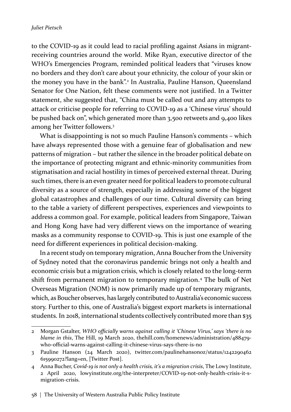to the COVID-19 as it could lead to racial profiling against Asians in migrantreceiving countries around the world. Mike Ryan, executive director of the WHO's Emergencies Program, reminded political leaders that "viruses know no borders and they don't care about your ethnicity, the colour of your skin or the money you have in the bank".<sup>2</sup> In Australia, Pauline Hanson, Queensland Senator for One Nation, felt these comments were not justified. In a Twitter statement, she suggested that, "China must be called out and any attempts to attack or criticise people for referring to COVID-19 as a 'Chinese virus' should be pushed back on", which generated more than 3,500 retweets and 9,400 likes among her Twitter followers.<sup>3</sup>

What is disappointing is not so much Pauline Hanson's comments – which have always represented those with a genuine fear of globalisation and new patterns of migration – but rather the silence in the broader political debate on the importance of protecting migrant and ethnic-minority communities from stigmatisation and racial hostility in times of perceived external threat. During such times, there is an even greater need for political leaders to promote cultural diversity as a source of strength, especially in addressing some of the biggest global catastrophes and challenges of our time. Cultural diversity can bring to the table a variety of different perspectives, experiences and viewpoints to address a common goal. For example, political leaders from Singapore, Taiwan and Hong Kong have had very different views on the importance of wearing masks as a community response to COVID-19. This is just one example of the need for different experiences in political decision-making.

In a recent study on temporary migration, Anna Boucher from the University of Sydney noted that the coronavirus pandemic brings not only a health and economic crisis but a migration crisis, which is closely related to the long-term shift from permanent migration to temporary migration.<sup>4</sup> The bulk of Net Overseas Migration (NOM) is now primarily made up of temporary migrants, which, as Boucher observes, has largely contributed to Australia's economic success story. Further to this, one of Australia's biggest export markets is international students. In 2018, international students collectively contributed more than \$35

<sup>2</sup> Morgan Gstalter, *WHO officially warns against calling it 'Chinese Virus,' says 'there is no blame in this*, The Hill, 19 March 2020, thehill.com/homenews/administration/488479 who-official-warns-against-calling-it-chinese-virus-says-there-is-no

<sup>3</sup> Pauline Hanson (24 March 2020), twitter.com/paulinehansonoz/status/1242290462 615990272?lang=en, [Twitter Post].

<sup>4</sup> Anna Bucher, *Covid-19 is not only a health crisis, it's a migration crisis*, The Lowy Institute, 2 April 2020, lowyinstitute.org/the-interpreter/COVID-19-not-only-health-crisis-it-smigration-crisis.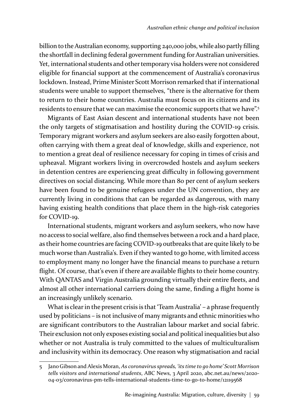billion to the Australian economy, supporting 240,000 jobs, while also partly filling the shortfall in declining federal government funding for Australian universities. Yet, international students and other temporary visa holders were not considered eligible for financial support at the commencement of Australia's coronavirus lockdown. Instead, Prime Minister Scott Morrison remarked that if international students were unable to support themselves, "there is the alternative for them to return to their home countries. Australia must focus on its citizens and its residents to ensure that we can maximise the economic supports that we have".<sup>5</sup>

Migrants of East Asian descent and international students have not been the only targets of stigmatisation and hostility during the COVID-19 crisis. Temporary migrant workers and asylum seekers are also easily forgotten about, often carrying with them a great deal of knowledge, skills and experience, not to mention a great deal of resilience necessary for coping in times of crisis and upheaval. Migrant workers living in overcrowded hostels and asylum seekers in detention centres are experiencing great difficulty in following government directives on social distancing. While more than 80 per cent of asylum seekers have been found to be genuine refugees under the UN convention, they are currently living in conditions that can be regarded as dangerous, with many having existing health conditions that place them in the high-risk categories for COVID-19.

International students, migrant workers and asylum seekers, who now have no access to social welfare, also find themselves between a rock and a hard place, as their home countries are facing COVID-19 outbreaks that are quite likely to be much worse than Australia's. Even if they wanted to go home, with limited access to employment many no longer have the financial means to purchase a return flight. Of course, that's even if there are available flights to their home country. With QANTAS and Virgin Australia grounding virtually their entire fleets, and almost all other international carriers doing the same, finding a flight home is an increasingly unlikely scenario.

What is clear in the present crisis is that 'Team Australia' – a phrase frequently used by politicians – is not inclusive of many migrants and ethnic minorities who are significant contributors to the Australian labour market and social fabric. Their exclusion not only exposes existing social and political inequalities but also whether or not Australia is truly committed to the values of multiculturalism and inclusivity within its democracy. One reason why stigmatisation and racial

<sup>5</sup> Jano Gibson and Alexis Moran, *As coronavirus spreads, 'its time to go home' Scott Morrison tells visitors and international students*, ABC News, 3 April 2020, abc.net.au/news/2020- 04-03/coronavirus-pm-tells-international-students-time-to-go-to-home/12119568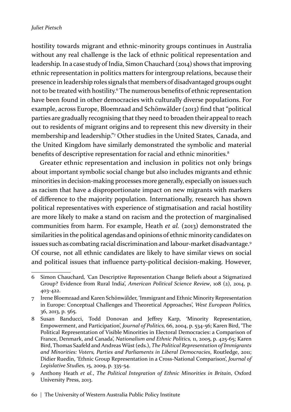hostility towards migrant and ethnic-minority groups continues in Australia without any real challenge is the lack of ethnic political representation and leadership. In a case study of India, Simon Chauchard (2014) shows that improving ethnic representation in politics matters for intergroup relations, because their presence in leadership roles signals that members of disadvantaged groups ought not to be treated with hostility.<sup>6</sup> The numerous benefits of ethnic representation have been found in other democracies with culturally diverse populations. For example, across Europe, Bloemraad and Schönwälder (2013) find that "political parties are gradually recognising that they need to broaden their appeal to reach out to residents of migrant origins and to represent this new diversity in their membership and leadership."<sup>7</sup> Other studies in the United States, Canada, and the United Kingdom have similarly demonstrated the symbolic and material benefits of descriptive representation for racial and ethnic minorities.<sup>8</sup>

Greater ethnic representation and inclusion in politics not only brings about important symbolic social change but also includes migrants and ethnic minorities in decision-making processes more generally, especially on issues such as racism that have a disproportionate impact on new migrants with markers of difference to the majority population. Internationally, research has shown political representatives with experience of stigmatisation and racial hostility are more likely to make a stand on racism and the protection of marginalised communities from harm. For example, Heath *et al.* (2013) demonstrated the similarities in the political agendas and opinions of ethnic minority candidates on issues such as combating racial discrimination and labour-market disadvantage.9 Of course, not all ethnic candidates are likely to have similar views on social and political issues that influence party-political decision-making. However,

<sup>6</sup> Simon Chauchard*, '*Can Descriptive Representation Change Beliefs about a Stigmatized Group? Evidence from Rural India', *American Political Science Review*, 108 (2), 2014, p. 403-422.

<sup>7</sup> Irene Bloemraad and Karen Schönwälder, 'Immigrant and Ethnic Minority Representation in Europe: Conceptual Challenges and Theoretical Approaches', *West European Politics,*  36, 2013, p. 565.

<sup>8</sup> Susan Banducci, Todd Donovan and Jeffrey Karp, 'Minority Representation, Empowerment, and Participation', *Journal of Politics,* 66, 2004, p. 534-56; Karen Bird, 'The Political Representation of Visible Minorities in Electoral Democracies: a Comparison of France, Denmark, and Canada', *Nationalism and Ethnic Politics,* 11, 2005, p. 425-65; Karen Bird, Thomas Saafeld and Andreas Wüst (eds.), *The Political Representation of Immigrants and Minorities: Voters, Parties and Parliaments in Liberal Democracies*, Routledge, 2011; Didier Ruedin, 'Ethnic Group Representation in a Cross-National Comparison', *Journal of Legislative Studies,* 15, 2009, p. 335-54.

<sup>9</sup> Anthony Heath *et al.*, *The Political Integration of Ethnic Minorities in Britain*, Oxford University Press, 2013.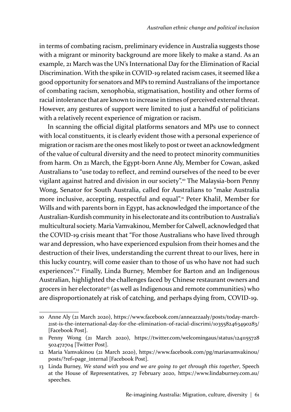in terms of combating racism, preliminary evidence in Australia suggests those with a migrant or minority background are more likely to make a stand. As an example, 21 March was the UN's International Day for the Elimination of Racial Discrimination. With the spike in COVID-19 related racism cases, it seemed like a good opportunity for senators and MPs to remind Australians of the importance of combating racism, xenophobia, stigmatisation, hostility and other forms of racial intolerance that are known to increase in times of perceived external threat. However, any gestures of support were limited to just a handful of politicians with a relatively recent experience of migration or racism.

In scanning the official digital platforms senators and MPs use to connect with local constituents, it is clearly evident those with a personal experience of migration or racism are the ones most likely to post or tweet an acknowledgment of the value of cultural diversity and the need to protect minority communities from harm. On 21 March, the Egypt-born Anne Aly, Member for Cowan, asked Australians to "use today to reflect, and remind ourselves of the need to be ever vigilant against hatred and division in our society".10 The Malaysia-born Penny Wong, Senator for South Australia, called for Australians to "make Australia more inclusive, accepting, respectful and equal".<sup>11</sup> Peter Khalil, Member for Wills and with parents born in Egypt, has acknowledged the importance of the Australian-Kurdish community in his electorate and its contribution to Australia's multicultural society. Maria Vamvakinou, Member for Calwell, acknowledged that the COVID-19 crisis meant that "For those Australians who have lived through war and depression, who have experienced expulsion from their homes and the destruction of their lives, understanding the current threat to our lives, here in this lucky country, will come easier than to those of us who have not had such experiences".<sup>12</sup> Finally, Linda Burney, Member for Barton and an Indigenous Australian, highlighted the challenges faced by Chinese restaurant owners and grocers in her electorate<sup>13</sup> (as well as Indigenous and remote communities) who are disproportionately at risk of catching, and perhaps dying from, COVID-19.

<sup>10</sup> Anne Aly (21 March 2020), https://www.facebook.com/anneazzaaly/posts/today-march-21st-is-the-international-day-for-the-elimination-of-racial-discrimi/1035582463490283/ [Facebook Post].

<sup>11</sup> Penny Wong (21 March 2020), https://twitter.com/welcomingaus/status/1241155728 502472704 [Twitter Post].

<sup>12</sup> Maria Vamvakinou (21 March 2020), https://www.facebook.com/pg/mariavamvakinou/ posts/?ref=page\_internal [Facebook Post].

<sup>13</sup> Linda Burney, *We stand with you and we are going to get through this together*, Speech at the House of Representatives, 27 February 2020, https://www.lindaburney.com.au/ speeches.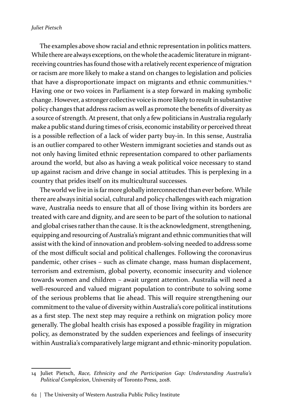#### *Juliet Pietsch*

The examples above show racial and ethnic representation in politics matters. While there are always exceptions, on the whole the academic literature in migrantreceiving countries has found those with a relatively recent experience of migration or racism are more likely to make a stand on changes to legislation and policies that have a disproportionate impact on migrants and ethnic communities.<sup>14</sup> Having one or two voices in Parliament is a step forward in making symbolic change. However, a stronger collective voice is more likely to result in substantive policy changes that address racism as well as promote the benefits of diversity as a source of strength. At present, that only a few politicians in Australia regularly make a public stand during times of crisis, economic instability or perceived threat is a possible reflection of a lack of wider party buy-in. In this sense, Australia is an outlier compared to other Western immigrant societies and stands out as not only having limited ethnic representation compared to other parliaments around the world, but also as having a weak political voice necessary to stand up against racism and drive change in social attitudes. This is perplexing in a country that prides itself on its multicultural successes.

The world we live in is far more globally interconnected than ever before. While there are always initial social, cultural and policy challenges with each migration wave, Australia needs to ensure that all of those living within its borders are treated with care and dignity, and are seen to be part of the solution to national and global crises rather than the cause. It is the acknowledgment, strengthening, equipping and resourcing of Australia's migrant and ethnic communities that will assist with the kind of innovation and problem-solving needed to address some of the most difficult social and political challenges. Following the coronavirus pandemic, other crises – such as climate change, mass human displacement, terrorism and extremism, global poverty, economic insecurity and violence towards women and children – await urgent attention. Australia will need a well-resourced and valued migrant population to contribute to solving some of the serious problems that lie ahead. This will require strengthening our commitment to the value of diversity within Australia's core political institutions as a first step. The next step may require a rethink on migration policy more generally. The global health crisis has exposed a possible fragility in migration policy, as demonstrated by the sudden experiences and feelings of insecurity within Australia's comparatively large migrant and ethnic-minority population.

<sup>14</sup> Juliet Pietsch, *Race, Ethnicity and the Participation Gap: Understanding Australia's Political Complexion*, University of Toronto Press, 2018.

<sup>62  |</sup>The University of Western Australia Public Policy Institute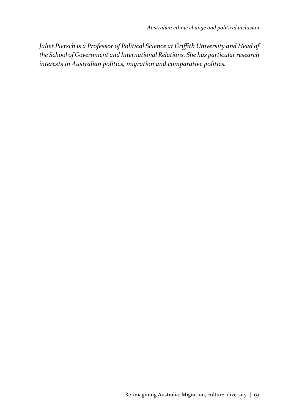*Juliet Pietsch is a Professor of Political Science at Griffith University and Head of the School of Government and International Relations. She has particular research interests in Australian politics, migration and comparative politics.*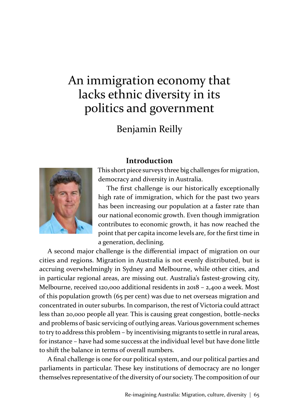# An immigration economy that lacks ethnic diversity in its politics and government

Benjamin Reilly

#### **Introduction**



This short piece surveys three big challenges for migration, democracy and diversity in Australia.

The first challenge is our historically exceptionally high rate of immigration, which for the past two years has been increasing our population at a faster rate than our national economic growth. Even though immigration contributes to economic growth, it has now reached the point that per capita income levels are, for the first time in a generation, declining.

A second major challenge is the differential impact of migration on our cities and regions. Migration in Australia is not evenly distributed, but is accruing overwhelmingly in Sydney and Melbourne, while other cities, and in particular regional areas, are missing out. Australia's fastest-growing city, Melbourne, received 120,000 additional residents in 2018 – 2,400 a week. Most of this population growth (65 per cent) was due to net overseas migration and concentrated in outer suburbs. In comparison, the rest of Victoria could attract less than 20,000 people all year. This is causing great congestion, bottle-necks and problems of basic servicing of outlying areas. Various government schemes to try to address this problem – by incentivising migrants to settle in rural areas, for instance – have had some success at the individual level but have done little to shift the balance in terms of overall numbers.

A final challenge is one for our political system, and our political parties and parliaments in particular. These key institutions of democracy are no longer themselves representative of the diversity of our society. The composition of our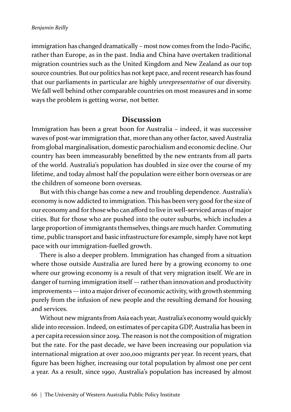immigration has changed dramatically – most now comes from the Indo-Pacific, rather than Europe, as in the past. India and China have overtaken traditional migration countries such as the United Kingdom and New Zealand as our top source countries. But our politics has not kept pace, and recent research has found that our parliaments in particular are highly *unrepresentative* of our diversity. We fall well behind other comparable countries on most measures and in some ways the problem is getting worse, not better.

#### **Discussion**

Immigration has been a great boon for Australia – indeed, it was successive waves of post-war immigration that, more than any other factor, saved Australia from global marginalisation, domestic parochialism and economic decline. Our country has been immeasurably benefitted by the new entrants from all parts of the world. Australia's population has doubled in size over the course of my lifetime, and today almost half the population were either born overseas or are the children of someone born overseas.

But with this change has come a new and troubling dependence. Australia's economy is now addicted to immigration. This has been very good for the size of our economy and for those who can afford to live in well-serviced areas of major cities. But for those who are pushed into the outer suburbs, which includes a large proportion of immigrants themselves, things are much harder. Commuting time, public transport and basic infrastructure for example, simply have not kept pace with our immigration-fuelled growth.

There is also a deeper problem. Immigration has changed from a situation where those outside Australia are lured here by a growing economy to one where our growing economy is a result of that very migration itself. We are in danger of turning immigration itself –- rather than innovation and productivity improvements –- into a major driver of economic activity, with growth stemming purely from the infusion of new people and the resulting demand for housing and services.

Without new migrants from Asia each year, Australia's economy would quickly slide into recession. Indeed, on estimates of per capita GDP, Australia has been in a per capita recession since 2019. The reason is not the composition of migration but the rate. For the past decade, we have been increasing our population via international migration at over 200,000 migrants per year. In recent years, that figure has been higher, increasing our total population by almost one per cent a year. As a result, since 1990, Australia's population has increased by almost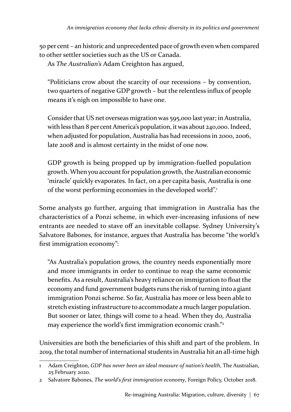50 per cent – an historic and unprecedented pace of growth even when compared to other settler societies such as the US or Canada.

As *The Australian's* Adam Creighton has argued,

"Politicians crow about the scarcity of our recessions – by convention, two quarters of negative GDP growth – but the relentless influx of people means it's nigh on impossible to have one.

Consider that US net overseas migration was 595,000 last year; in Australia, with less than 8 per cent America's population, it was about 240,000. Indeed, when adjusted for population, Australia has had recessions in 2000, 2006, late 2008 and is almost certainty in the midst of one now.

GDP growth is being propped up by immigration-fuelled population growth. When you account for population growth, the Australian economic 'miracle' quickly evaporates. In fact, on a per capita basis, Australia is one of the worst performing economies in the developed world".<sup>1</sup>

Some analysts go further, arguing that immigration in Australia has the characteristics of a Ponzi scheme, in which ever-increasing infusions of new entrants are needed to stave off an inevitable collapse. Sydney University's Salvatore Babones, for instance, argues that Australia has become "the world's first immigration economy":

"As Australia's population grows, the country needs exponentially more and more immigrants in order to continue to reap the same economic benefits. As a result, Australia's heavy reliance on immigration to float the economy and fund government budgets runs the risk of turning into a giant immigration Ponzi scheme. So far, Australia has more or less been able to stretch existing infrastructure to accommodate a much larger population. But sooner or later, things will come to a head. When they do, Australia may experience the world's first immigration economic crash."<sup>2</sup>

Universities are both the beneficiaries of this shift and part of the problem. In 2019, the total number of international students in Australia hit an all-time high

<sup>1</sup> Adam Creighton, *GDP has never been an ideal measure of nation's health*, The Australian, 25 February 2020.

<sup>2</sup> Salvatore Babones, *The world's first immigration economy*, Foreign Policy, October 2018.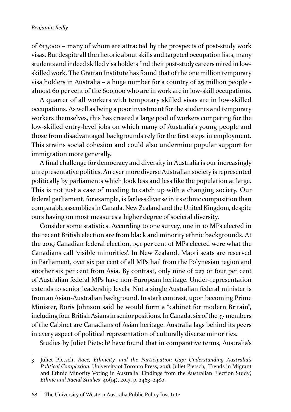of 613,000 – many of whom are attracted by the prospects of post-study work visas. But despite all the rhetoric about skills and targeted occupation lists, many students and indeed skilled visa holders find their post-study careers mired in lowskilled work. The Grattan Institute has found that of the one million temporary visa holders in Australia – a huge number for a country of 25 million people almost 60 per cent of the 600,000 who are in work are in low-skill occupations.

A quarter of all workers with temporary skilled visas are in low-skilled occupations. As well as being a poor investment for the students and temporary workers themselves, this has created a large pool of workers competing for the low-skilled entry-level jobs on which many of Australia's young people and those from disadvantaged backgrounds rely for the first steps in employment. This strains social cohesion and could also undermine popular support for immigration more generally.

A final challenge for democracy and diversity in Australia is our increasingly unrepresentative politics. An ever more diverse Australian society is represented politically by parliaments which look less and less like the population at large. This is not just a case of needing to catch up with a changing society. Our federal parliament, for example, is far less diverse in its ethnic composition than comparable assemblies in Canada, New Zealand and the United Kingdom, despite ours having on most measures a higher degree of societal diversity.

Consider some statistics. According to one survey, one in 10 MPs elected in the recent British election are from black and minority ethnic backgrounds. At the 2019 Canadian federal election, 15.1 per cent of MPs elected were what the Canadians call 'visible minorities'. In New Zealand, Maori seats are reserved in Parliament, over six per cent of all MPs hail from the Polynesian region and another six per cent from Asia. By contrast, only nine of 227 or four per cent of Australian federal MPs have non-European heritage. Under-representation extends to senior leadership levels. Not a single Australian federal minister is from an Asian-Australian background. In stark contrast, upon becoming Prime Minister, Boris Johnson said he would form a "cabinet for modern Britain", including four British Asians in senior positions. In Canada, six of the 37 members of the Cabinet are Canadians of Asian heritage. Australia lags behind its peers in every aspect of political representation of culturally diverse minorities.

Studies by Juliet Pietsch<sup>3</sup> have found that in comparative terms, Australia's

<sup>3</sup> Juliet Pietsch, *Race, Ethnicity, and the Participation Gap: Understanding Australia's Political Complexion*, University of Toronto Press, 2018. Juliet Pietsch*, '*Trends in Migrant and Ethnic Minority Voting in Australia: Findings from the Australian Election Study', *Ethnic and Racial Studies*, 40(14), 2017, p. 2463–2480.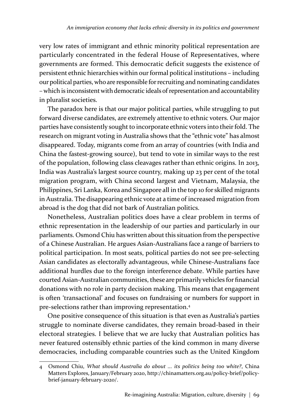very low rates of immigrant and ethnic minority political representation are particularly concentrated in the federal House of Representatives, where governments are formed. This democratic deficit suggests the existence of persistent ethnic hierarchies within our formal political institutions – including our political parties, who are responsible for recruiting and nominating candidates – which is inconsistent with democratic ideals of representation and accountability in pluralist societies.

The paradox here is that our major political parties, while struggling to put forward diverse candidates, are extremely attentive to ethnic voters. Our major parties have consistently sought to incorporate ethnic voters into their fold. The research on migrant voting in Australia shows that the "ethnic vote" has almost disappeared. Today, migrants come from an array of countries (with India and China the fastest-growing source), but tend to vote in similar ways to the rest of the population, following class cleavages rather than ethnic origins. In 2013, India was Australia's largest source country, making up 23 per cent of the total migration program, with China second largest and Vietnam, Malaysia, the Philippines, Sri Lanka, Korea and Singapore all in the top 10 for skilled migrants in Australia. The disappearing ethnic vote at a time of increased migration from abroad is the dog that did not bark of Australian politics.

Nonetheless, Australian politics does have a clear problem in terms of ethnic representation in the leadership of our parties and particularly in our parliaments. Osmond Chiu has written about this situation from the perspective of a Chinese Australian. He argues Asian-Australians face a range of barriers to political participation. In most seats, political parties do not see pre-selecting Asian candidates as electorally advantageous, while Chinese-Australians face additional hurdles due to the foreign interference debate. While parties have courted Asian-Australian communities, these are primarily vehicles for financial donations with no role in party decision making. This means that engagement is often 'transactional' and focuses on fundraising or numbers for support in pre-selections rather than improving representation.<sup>4</sup>

One positive consequence of this situation is that even as Australia's parties struggle to nominate diverse candidates, they remain broad-based in their electoral strategies. I believe that we are lucky that Australian politics has never featured ostensibly ethnic parties of the kind common in many diverse democracies, including comparable countries such as the United Kingdom

<sup>4</sup> Osmond Chiu, *What should Australia do about ... its politics being too white?*, China Matters Explores, January/February 2020, http://chinamatters.org.au/policy-brief/policybrief-january-february-2020/.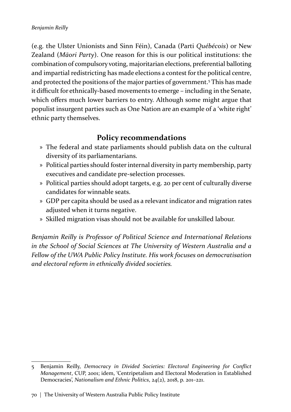(e.g. the Ulster Unionists and Sinn Féin), Canada (Parti *Québécois*) or New Zealand (*Māori Party*). One reason for this is our political institutions: the combination of compulsory voting, majoritarian elections, preferential balloting and impartial redistricting has made elections a contest for the political centre, and protected the positions of the major parties of government.<sup>5</sup> This has made it difficult for ethnically-based movements to emerge – including in the Senate, which offers much lower barriers to entry. Although some might argue that populist insurgent parties such as One Nation are an example of a 'white right' ethnic party themselves.

### **Policy recommendations**

- » The federal and state parliaments should publish data on the cultural diversity of its parliamentarians.
- » Political parties should foster internal diversity in party membership, party executives and candidate pre-selection processes.
- » Political parties should adopt targets, e.g. 20 per cent of culturally diverse candidates for winnable seats.
- » GDP per capita should be used as a relevant indicator and migration rates adjusted when it turns negative.
- » Skilled migration visas should not be available for unskilled labour.

*Benjamin Reilly is Professor of Political Science and International Relations in the School of Social Sciences at The University of Western Australia and a Fellow of the UWA Public Policy Institute. His work focuses on democratisation and electoral reform in ethnically divided societies.*

<sup>5</sup> Benjamin Reilly, *Democracy in Divided Societies: Electoral Engineering for Conflict Management*, CUP, 2001; idem, 'Centripetalism and Electoral Moderation in Established Democracies', *Nationalism and Ethnic Politics*, 24(2), 2018, p. 201–221.

<sup>70 |</sup> The University of Western Australia Public Policy Institute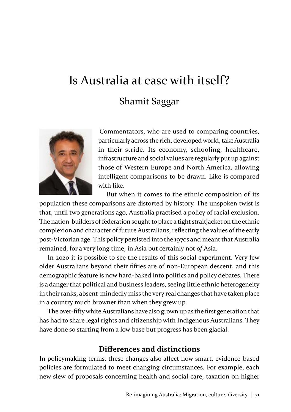# Is Australia at ease with itself? Shamit Saggar



Commentators, who are used to comparing countries, particularly across the rich, developed world, take Australia in their stride. Its economy, schooling, healthcare, infrastructure and social values are regularly put up against those of Western Europe and North America, allowing intelligent comparisons to be drawn. Like is compared with like.

But when it comes to the ethnic composition of its population these comparisons are distorted by history. The unspoken twist is that, until two generations ago, Australia practised a policy of racial exclusion. The nation-builders of federation sought to place a tight straitjacket on the ethnic complexion and character of future Australians, reflecting the values of the early post-Victorian age. This policy persisted into the 1970s and meant that Australia remained, for a very long time, in Asia but certainly not *of* Asia.

In 2020 it is possible to see the results of this social experiment. Very few older Australians beyond their fifties are of non-European descent, and this demographic feature is now hard-baked into politics and policy debates. There is a danger that political and business leaders, seeing little ethnic heterogeneity in their ranks, absent-mindedly miss the very real changes that have taken place in a country much browner than when they grew up.

The over-fifty white Australians have also grown up as the first generation that has had to share legal rights and citizenship with Indigenous Australians. They have done so starting from a low base but progress has been glacial.

#### **Differences and distinctions**

In policymaking terms, these changes also affect how smart, evidence-based policies are formulated to meet changing circumstances. For example, each new slew of proposals concerning health and social care, taxation on higher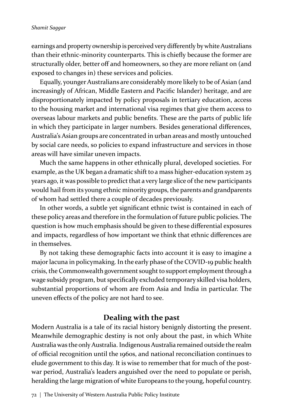#### *Shamit Saggar*

earnings and property ownership is perceived very differently by white Australians than their ethnic-minority counterparts. This is chiefly because the former are structurally older, better off and homeowners, so they are more reliant on (and exposed to changes in) these services and policies.

Equally, younger Australians are considerably more likely to be of Asian (and increasingly of African, Middle Eastern and Pacific Islander) heritage, and are disproportionately impacted by policy proposals in tertiary education, access to the housing market and international visa regimes that give them access to overseas labour markets and public benefits. These are the parts of public life in which they participate in larger numbers. Besides generational differences, Australia's Asian groups are concentrated in urban areas and mostly untouched by social care needs, so policies to expand infrastructure and services in those areas will have similar uneven impacts.

Much the same happens in other ethnically plural, developed societies. For example, as the UK began a dramatic shift to a mass higher-education system 25 years ago, it was possible to predict that a very large slice of the new participants would hail from its young ethnic minority groups, the parents and grandparents of whom had settled there a couple of decades previously.

In other words, a subtle yet significant ethnic twist is contained in each of these policy areas and therefore in the formulation of future public policies. The question is how much emphasis should be given to these differential exposures and impacts, regardless of how important we think that ethnic differences are in themselves.

By not taking these demographic facts into account it is easy to imagine a major lacuna in policymaking. In the early phase of the COVID-19 public health crisis, the Commonwealth government sought to support employment through a wage subsidy program, but specifically excluded temporary skilled visa holders, substantial proportions of whom are from Asia and India in particular. The uneven effects of the policy are not hard to see.

#### **Dealing with the past**

Modern Australia is a tale of its racial history benignly distorting the present. Meanwhile demographic destiny is not only about the past, in which White Australia was the only Australia. Indigenous Australia remained outside the realm of official recognition until the 1960s, and national reconciliation continues to elude government to this day. It is wise to remember that for much of the postwar period, Australia's leaders anguished over the need to populate or perish, heralding the large migration of white Europeans to the young, hopeful country.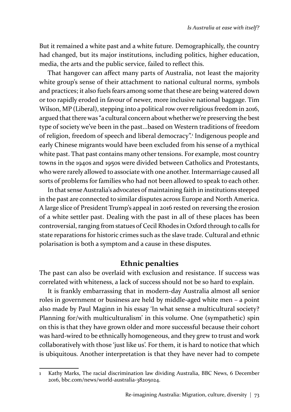But it remained a white past and a white future. Demographically, the country had changed, but its major institutions, including politics, higher education, media, the arts and the public service, failed to reflect this.

That hangover can affect many parts of Australia, not least the majority white group's sense of their attachment to national cultural norms, symbols and practices; it also fuels fears among some that these are being watered down or too rapidly eroded in favour of newer, more inclusive national baggage. Tim Wilson, MP (Liberal), stepping into a political row over religious freedom in 2016, argued that there was "a cultural concern about whether we're preserving the best type of society we've been in the past...based on Western traditions of freedom of religion, freedom of speech and liberal democracy".<sup>,</sup> Indigenous people and early Chinese migrants would have been excluded from his sense of a mythical white past. That past contains many other tensions. For example, most country towns in the 1940s and 1950s were divided between Catholics and Protestants, who were rarely allowed to associate with one another. Intermarriage caused all sorts of problems for families who had not been allowed to speak to each other.

In that sense Australia's advocates of maintaining faith in institutions steeped in the past are connected to similar disputes across Europe and North America. A large slice of President Trump's appeal in 2016 rested on reversing the erosion of a white settler past. Dealing with the past in all of these places has been controversial, ranging from statues of Cecil Rhodes in Oxford through to calls for state reparations for historic crimes such as the slave trade. Cultural and ethnic polarisation is both a symptom and a cause in these disputes.

### **Ethnic penalties**

The past can also be overlaid with exclusion and resistance. If success was correlated with whiteness, a lack of success should not be so hard to explain.

It is frankly embarrassing that in modern-day Australia almost all senior roles in government or business are held by middle-aged white men – a point also made by Paul Maginn in his essay 'In what sense a multicultural society? Planning for/with multiculturalism' in this volume. One (sympathetic) spin on this is that they have grown older and more successful because their cohort was hard-wired to be ethnically homogeneous, and they grew to trust and work collaboratively with those 'just like us'. For them, it is hard to notice that which is ubiquitous. Another interpretation is that they have never had to compete

Kathy Marks, The racial discrimination law dividing Australia, BBC News, 6 December 2016, bbc.com/news/world-australia-38205024.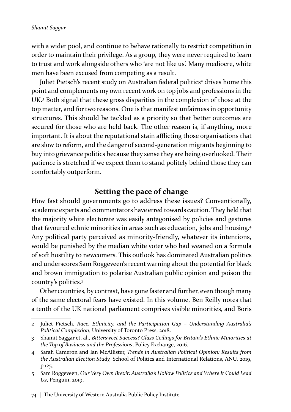with a wider pool, and continue to behave rationally to restrict competition in order to maintain their privilege. As a group, they were never required to learn to trust and work alongside others who 'are not like us'. Many mediocre, white men have been excused from competing as a result.

Juliet Pietsch's recent study on Australian federal politics<sup>2</sup> drives home this point and complements my own recent work on top jobs and professions in the UK.<sup>3</sup> Both signal that these gross disparities in the complexion of those at the top matter, and for two reasons. One is that manifest unfairness in opportunity structures. This should be tackled as a priority so that better outcomes are secured for those who are held back. The other reason is, if anything, more important. It is about the reputational stain afflicting those organisations that are slow to reform, and the danger of second-generation migrants beginning to buy into grievance politics because they sense they are being overlooked. Their patience is stretched if we expect them to stand politely behind those they can comfortably outperform.

## **Setting the pace of change**

How fast should governments go to address these issues? Conventionally, academic experts and commentators have erred towards caution. They held that the majority white electorate was easily antagonised by policies and gestures that favoured ethnic minorities in areas such as education, jobs and housing.<sup>4</sup> Any political party perceived as minority-friendly, whatever its intentions, would be punished by the median white voter who had weaned on a formula of soft hostility to newcomers. This outlook has dominated Australian politics and underscores Sam Roggeveen's recent warning about the potential for black and brown immigration to polarise Australian public opinion and poison the country's politics.<sup>5</sup>

Other countries, by contrast, have gone faster and further, even though many of the same electoral fears have existed. In this volume, Ben Reilly notes that a tenth of the UK national parliament comprises visible minorities, and Boris

<sup>2</sup> Juliet Pietsch, *Race, Ethnicity, and the Participation Gap – Understanding Australia's Political Complexion*, University of Toronto Press, 2018.

<sup>3</sup> Shamit Saggar et. al., *Bittersweet Success? Glass Ceilings for Britain's Ethnic Minorities at the Top of Business and the Professions*, Policy Exchange, 2016.

<sup>4</sup> Sarah Cameron and Ian McAllister, *Trends in Australian Political Opinion: Results from the Australian Election Study,* School of Politics and International Relations, ANU, 2019, p.125.

<sup>5</sup> Sam Roggeveen, *Our Very Own Brexit: Australia's Hollow Politics and Where It Could Lead Us*, Penguin, 2019.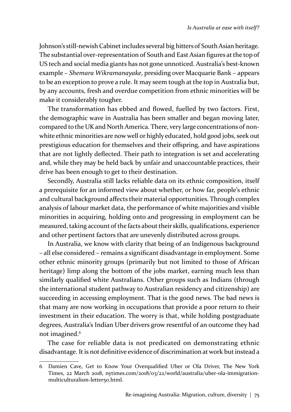Johnson's still-newish Cabinet includes several big hitters of South Asian heritage. The substantial over-representation of South and East Asian figures at the top of US tech and social media giants has not gone unnoticed. Australia's best-known example – *Shemara Wikramanayake*, presiding over Macquarie Bank – appears to be an exception to prove a rule. It may seem tough at the top in Australia but, by any accounts, fresh and overdue competition from ethnic minorities will be make it considerably tougher.

The transformation has ebbed and flowed, fuelled by two factors. First, the demographic wave in Australia has been smaller and began moving later, compared to the UK and North America. There, very large concentrations of nonwhite ethnic minorities are now well or highly educated, hold good jobs, seek out prestigious education for themselves and their offspring, and have aspirations that are not lightly deflected. Their path to integration is set and accelerating and, while they may be held back by unfair and unaccountable practices, their drive has been enough to get to their destination.

Secondly, Australia still lacks reliable data on its ethnic composition, itself a prerequisite for an informed view about whether, or how far, people's ethnic and cultural background affects their material opportunities. Through complex analysis of labour market data, the performance of white majorities and visible minorities in acquiring, holding onto and progressing in employment can be measured, taking account of the facts about their skills, qualifications, experience and other pertinent factors that are unevenly distributed across groups.

In Australia, we know with clarity that being of an Indigenous background – all else considered – remains a significant disadvantage in employment. Some other ethnic minority groups (primarily but not limited to those of African heritage) limp along the bottom of the jobs market, earning much less than similarly qualified white Australians. Other groups such as Indians (through the international student pathway to Australian residency and citizenship) are succeeding in accessing employment. That is the good news. The bad news is that many are now working in occupations that provide a poor return to their investment in their education. The worry is that, while holding postgraduate degrees, Australia's Indian Uber drivers grow resentful of an outcome they had not imagined.<sup>6</sup>

The case for reliable data is not predicated on demonstrating ethnic disadvantage. It is not definitive evidence of discrimination at work but instead a

<sup>6</sup> Damien Cave, Get to Know Your Overqualified Uber or Ola Driver, The New York Times, 22 March 2018, nytimes.com/2018/03/22/world/australia/uber-ola-immigrationmulticulturalism-letter50.html.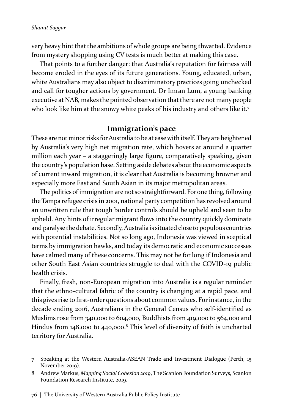very heavy hint that the ambitions of whole groups are being thwarted. Evidence from mystery shopping using CV tests is much better at making this case.

That points to a further danger: that Australia's reputation for fairness will become eroded in the eyes of its future generations. Young, educated, urban, white Australians may also object to discriminatory practices going unchecked and call for tougher actions by government. Dr Imran Lum, a young banking executive at NAB, makes the pointed observation that there are not many people who look like him at the snowy white peaks of his industry and others like it.<sup>7</sup>

### **Immigration's pace**

These are not minor risks for Australia to be at ease with itself. They are heightened by Australia's very high net migration rate, which hovers at around a quarter million each year – a staggeringly large figure, comparatively speaking, given the country's population base. Setting aside debates about the economic aspects of current inward migration, it is clear that Australia is becoming browner and especially more East and South Asian in its major metropolitan areas.

The politics of immigration are not so straightforward. For one thing, following the Tampa refugee crisis in 2001, national party competition has revolved around an unwritten rule that tough border controls should be upheld and seen to be upheld. Any hints of irregular migrant flows into the country quickly dominate and paralyse the debate. Secondly, Australia is situated close to populous countries with potential instabilities. Not so long ago, Indonesia was viewed in sceptical terms by immigration hawks, and today its democratic and economic successes have calmed many of these concerns. This may not be for long if Indonesia and other South East Asian countries struggle to deal with the COVID-19 public health crisis.

Finally, fresh, non-European migration into Australia is a regular reminder that the ethno-cultural fabric of the country is changing at a rapid pace, and this gives rise to first-order questions about common values. For instance, in the decade ending 2016, Australians in the General Census who self-identified as Muslims rose from 340,000 to 604,000, Buddhists from 419,000 to 564,000 and Hindus from 148,000 to 440,000.<sup>8</sup> This level of diversity of faith is uncharted territory for Australia.

<sup>7</sup> Speaking at the Western Australia-ASEAN Trade and Investment Dialogue (Perth, 15 November 2019).

<sup>8</sup> Andrew Markus, *Mapping Social Cohesion 2019*, The Scanlon Foundation Surveys, Scanlon Foundation Research Institute, 2019.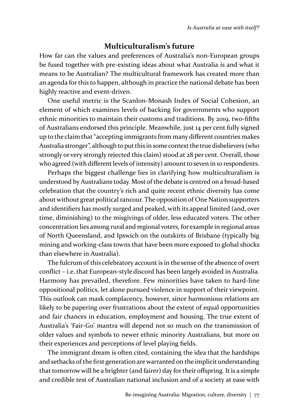### **Multiculturalism's future**

How far can the values and preferences of Australia's non-European groups be fused together with pre-existing ideas about what Australia is and what it means to be Australian? The multicultural framework has created more than an agenda for this to happen, although in practice the national debate has been highly reactive and event-driven.

One useful metric is the Scanlon-Monash Index of Social Cohesion, an element of which examines levels of backing for governments who support ethnic minorities to maintain their customs and traditions. By 2019, two-fifths of Australians endorsed this principle. Meanwhile, just 14 per cent fully signed up to the claim that "accepting immigrants from many different countries makes Australia stronger", although to put this in some context the true disbelievers (who strongly or very strongly rejected this claim) stood at 28 per cent. Overall, those who agreed (with different levels of intensity) amount to seven in 10 respondents.

Perhaps the biggest challenge lies in clarifying how multiculturalism is understood by Australians today. Most of the debate is centred on a broad-based celebration that the country's rich and quite recent ethnic diversity has come about without great political rancour. The opposition of One Nation supporters and identifiers has mostly surged and peaked, with its appeal limited (and, over time, diminishing) to the misgivings of older, less educated voters. The other concentration lies among rural and regional voters, for example in regional areas of North Queensland, and Ipswich on the outskirts of Brisbane (typically big mining and working-class towns that have been more exposed to global shocks than elsewhere in Australia).

The fulcrum of this celebratory account is in the sense of the absence of overt conflict – i.e. that European-style discord has been largely avoided in Australia. Harmony has prevailed, therefore. Few minorities have taken to hard-line oppositional politics, let alone pursued violence in support of their viewpoint. This outlook can mask complacency, however, since harmonious relations are likely to be papering over frustrations about the extent of equal opportunities and fair chances in education, employment and housing. The true extent of Australia's 'Fair-Go' mantra will depend not so much on the transmission of older values and symbols to newer ethnic minority Australians, but more on their experiences and perceptions of level playing fields.

The immigrant dream is often cited, containing the idea that the hardships and setbacks of the first generation are warranted on the implicit understanding that tomorrow will be a brighter (and fairer) day for their offspring. It is a simple and credible test of Australian national inclusion and of a society at ease with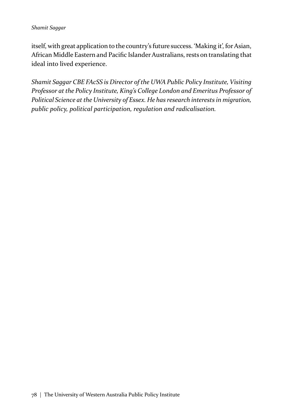#### *Shamit Saggar*

itself, with great application to the country's future success. 'Making it', for Asian, African Middle Eastern and Pacific Islander Australians, rests on translating that ideal into lived experience.

*Shamit Saggar CBE FAcSS is Director of the UWA Public Policy Institute, Visiting Professor at the Policy Institute, King's College London and Emeritus Professor of Political Science at the University of Essex. He has research interests in migration, public policy, political participation, regulation and radicalisation.*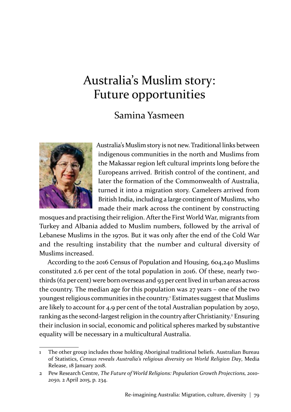# Australia's Muslim story: Future opportunities

## Samina Yasmeen



Australia's Muslim story is not new. Traditional links between indigenous communities in the north and Muslims from the Makassar region left cultural imprints long before the Europeans arrived. British control of the continent, and later the formation of the Commonwealth of Australia, turned it into a migration story. Cameleers arrived from British India, including a large contingent of Muslims, who made their mark across the continent by constructing

mosques and practising their religion. After the First World War, migrants from Turkey and Albania added to Muslim numbers, followed by the arrival of Lebanese Muslims in the 1970s. But it was only after the end of the Cold War and the resulting instability that the number and cultural diversity of Muslims increased.

According to the 2016 Census of Population and Housing, 604,240 Muslims constituted 2.6 per cent of the total population in 2016. Of these, nearly twothirds (62 per cent) were born overseas and 93 per cent lived in urban areas across the country. The median age for this population was 27 years – one of the two youngest religious communities in the country.<sup>1</sup> Estimates suggest that Muslims are likely to account for 4.9 per cent of the total Australian population by 2050, ranking as the second-largest religion in the country after Christianity.<sup>2</sup> Ensuring their inclusion in social, economic and political spheres marked by substantive equality will be necessary in a multicultural Australia.

<sup>1</sup> The other group includes those holding Aboriginal traditional beliefs. Australian Bureau of Statistics, *Census reveals Australia's religious diversity on World Religion Day*, Media Release, 18 January 2018.

<sup>2</sup> Pew Research Centre, *The Future of World Religions: Population Growth Projections, 2010- 2050,* 2 April 2015, p. 234.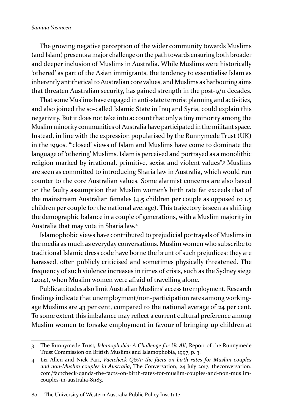The growing negative perception of the wider community towards Muslims (and Islam) presents a major challenge on the path towards ensuring both broader and deeper inclusion of Muslims in Australia. While Muslims were historically 'othered' as part of the Asian immigrants, the tendency to essentialise Islam as inherently antithetical to Australian core values, and Muslims as harbouring aims that threaten Australian security, has gained strength in the post-9/11 decades.

That some Muslims have engaged in anti-state terrorist planning and activities, and also joined the so-called Islamic State in Iraq and Syria, could explain this negativity. But it does not take into account that only a tiny minority among the Muslim minority communities of Australia have participated in the militant space. Instead, in line with the expression popularised by the Runnymede Trust (UK) in the 1990s, "'closed' views of Islam and Muslims have come to dominate the language of 'othering' Muslims. Islam is perceived and portrayed as a monolithic religion marked by irrational, primitive, sexist and violent values".<sup>3</sup> Muslims are seen as committed to introducing Sharia law in Australia, which would run counter to the core Australian values. Some alarmist concerns are also based on the faulty assumption that Muslim women's birth rate far exceeds that of the mainstream Australian females (4.5 children per couple as opposed to 1.5 children per couple for the national average). This trajectory is seen as shifting the demographic balance in a couple of generations, with a Muslim majority in Australia that may vote in Sharia law.<sup>4</sup>

Islamophobic views have contributed to prejudicial portrayals of Muslims in the media as much as everyday conversations. Muslim women who subscribe to traditional Islamic dress code have borne the brunt of such prejudices: they are harassed, often publicly criticised and sometimes physically threatened. The frequency of such violence increases in times of crisis, such as the Sydney siege (2014), when Muslim women were afraid of travelling alone.

Public attitudes also limit Australian Muslims' access to employment. Research findings indicate that unemployment/non-participation rates among workingage Muslims are 43 per cent, compared to the national average of 24 per cent. To some extent this imbalance may reflect a current cultural preference among Muslim women to forsake employment in favour of bringing up children at

<sup>3</sup> The Runnymede Trust*, Islamophobia: A Challenge for Us All*, Report of the Runnymede Trust Commission on British Muslims and Islamophobia, 1997, p. 3.

<sup>4</sup> Liz Allen and Nick Parr, *Factcheck Q&A: the facts on birth rates for Muslim couples and non-Muslim couples in Australia*, The Conversation, 24 July 2017, theconversation. com/factcheck-qanda-the-facts-on-birth-rates-for-muslim-couples-and-non-muslimcouples-in-australia-81183.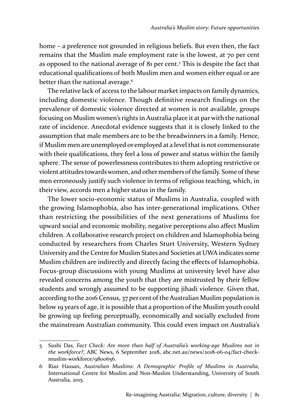home – a preference not grounded in religious beliefs. But even then, the fact remains that the Muslim male employment rate is the lowest, at 70 per cent as opposed to the national average of 81 per cent.<sup>5</sup> This is despite the fact that educational qualifications of both Muslim men and women either equal or are better than the national average.<sup>6</sup>

The relative lack of access to the labour market impacts on family dynamics, including domestic violence. Though definitive research findings on the prevalence of domestic violence directed at women is not available, groups focusing on Muslim women's rights in Australia place it at par with the national rate of incidence. Anecdotal evidence suggests that it is closely linked to the assumption that male members are to be the breadwinners in a family. Hence, if Muslim men are unemployed or employed at a level that is not commensurate with their qualifications, they feel a loss of power and status within the family sphere. The sense of powerlessness contributes to them adopting restrictive or violent attitudes towards women, and other members of the family. Some of these men erroneously justify such violence in terms of religious teaching, which, in their view, accords men a higher status in the family.

The lower socio-economic status of Muslims in Australia, coupled with the growing Islamophobia, also has inter-generational implications. Other than restricting the possibilities of the next generations of Muslims for upward social and economic mobility, negative perceptions also affect Muslim children. A collaborative research project on children and Islamophobia being conducted by researchers from Charles Sturt University, Western Sydney University and the Centre for Muslim States and Societies at UWA indicates some Muslim children are indirectly and directly facing the effects of Islamophobia. Focus-group discussions with young Muslims at university level have also revealed concerns among the youth that they are mistrusted by their fellow students and wrongly assumed to be supporting jihadi violence. Given that, according to the 2016 Census, 37 per cent of the Australian Muslim population is below 19 years of age, it is possible that a proportion of the Muslim youth could be growing up feeling perceptually, economically and socially excluded from the mainstream Australian community. This could even impact on Australia's

<sup>5</sup> Sushi Das, *Fact Check: Are more than half of Australia's working-age Muslims not in the workforce?*, ABC News, 6 September 2018, abc.net.au/news/2018-06-04/fact-checkmuslim-workforce/9800656.

<sup>6</sup> Riaz Hassan, Au*stralian Muslims: A Demographic Profile of Muslims in Australia*, International Centre for Muslim and Non-Muslim Understanding, University of South Australia, 2015.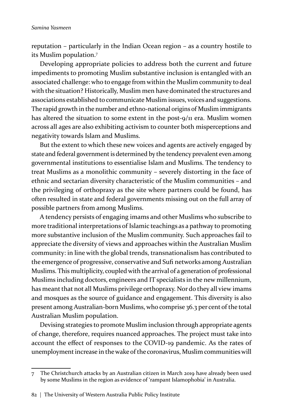#### *Samina Yasmeen*

reputation – particularly in the Indian Ocean region – as a country hostile to its Muslim population.<sup>7</sup>

Developing appropriate policies to address both the current and future impediments to promoting Muslim substantive inclusion is entangled with an associated challenge: who to engage from within the Muslim community to deal with the situation? Historically, Muslim men have dominated the structures and associations established to communicate Muslim issues, voices and suggestions. The rapid growth in the number and ethno-national origins of Muslim immigrants has altered the situation to some extent in the post-9/11 era. Muslim women across all ages are also exhibiting activism to counter both misperceptions and negativity towards Islam and Muslims.

But the extent to which these new voices and agents are actively engaged by state and federal government is determined by the tendency prevalent even among governmental institutions to essentialise Islam and Muslims. The tendency to treat Muslims as a monolithic community – severely distorting in the face of ethnic and sectarian diversity characteristic of the Muslim communities – and the privileging of orthopraxy as the site where partners could be found, has often resulted in state and federal governments missing out on the full array of possible partners from among Muslims.

A tendency persists of engaging imams and other Muslims who subscribe to more traditional interpretations of Islamic teachings as a pathway to promoting more substantive inclusion of the Muslim community. Such approaches fail to appreciate the diversity of views and approaches within the Australian Muslim community: in line with the global trends, transnationalism has contributed to the emergence of progressive, conservative and Sufi networks among Australian Muslims. This multiplicity, coupled with the arrival of a generation of professional Muslims including doctors, engineers and IT specialists in the new millennium, has meant that not all Muslims privilege orthopraxy. Nor do they all view imams and mosques as the source of guidance and engagement. This diversity is also present among Australian-born Muslims, who comprise 36.3 per cent of the total Australian Muslim population.

Devising strategies to promote Muslim inclusion through appropriate agents of change, therefore, requires nuanced approaches. The project must take into account the effect of responses to the COVID-19 pandemic. As the rates of unemployment increase in the wake of the coronavirus, Muslim communities will

<sup>7</sup> The Christchurch attacks by an Australian citizen in March 2019 have already been used by some Muslims in the region as evidence of 'rampant Islamophobia' in Australia.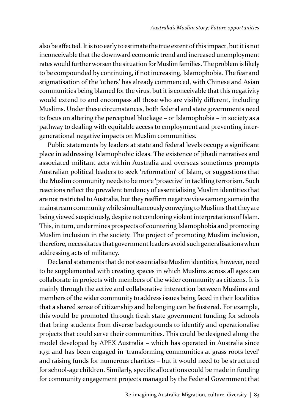also be affected. It is too early to estimate the true extent of this impact, but it is not inconceivable that the downward economic trend and increased unemployment rates would further worsen the situation for Muslim families. The problem is likely to be compounded by continuing, if not increasing, Islamophobia. The fear and stigmatisation of the 'others' has already commenced, with Chinese and Asian communities being blamed for the virus, but it is conceivable that this negativity would extend to and encompass all those who are visibly different, including Muslims. Under these circumstances, both federal and state governments need to focus on altering the perceptual blockage – or Islamophobia – in society as a pathway to dealing with equitable access to employment and preventing intergenerational negative impacts on Muslim communities.

Public statements by leaders at state and federal levels occupy a significant place in addressing Islamophobic ideas. The existence of jihadi narratives and associated militant acts within Australia and overseas sometimes prompts Australian political leaders to seek 'reformation' of Islam, or suggestions that the Muslim community needs to be more 'proactive' in tackling terrorism. Such reactions reflect the prevalent tendency of essentialising Muslim identities that are not restricted to Australia, but they reaffirm negative views among some in the mainstream community while simultaneously conveying to Muslims that they are being viewed suspiciously, despite not condoning violent interpretations of Islam. This, in turn, undermines prospects of countering Islamophobia and promoting Muslim inclusion in the society. The project of promoting Muslim inclusion, therefore, necessitates that government leaders avoid such generalisations when addressing acts of militancy.

Declared statements that do not essentialise Muslim identities, however, need to be supplemented with creating spaces in which Muslims across all ages can collaborate in projects with members of the wider community as citizens. It is mainly through the active and collaborative interaction between Muslims and members of the wider community to address issues being faced in their localities that a shared sense of citizenship and belonging can be fostered. For example, this would be promoted through fresh state government funding for schools that bring students from diverse backgrounds to identify and operationalise projects that could serve their communities. This could be designed along the model developed by APEX Australia – which has operated in Australia since 1931 and has been engaged in 'transforming communities at grass roots level' and raising funds for numerous charities – but it would need to be structured for school-age children. Similarly, specific allocations could be made in funding for community engagement projects managed by the Federal Government that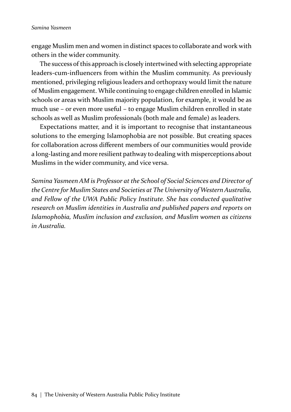engage Muslim men and women in distinct spaces to collaborate and work with others in the wider community.

The success of this approach is closely intertwined with selecting appropriate leaders-cum-influencers from within the Muslim community. As previously mentioned, privileging religious leaders and orthopraxy would limit the nature of Muslim engagement. While continuing to engage children enrolled in Islamic schools or areas with Muslim majority population, for example, it would be as much use – or even more useful – to engage Muslim children enrolled in state schools as well as Muslim professionals (both male and female) as leaders.

Expectations matter, and it is important to recognise that instantaneous solutions to the emerging Islamophobia are not possible. But creating spaces for collaboration across different members of our communities would provide a long-lasting and more resilient pathway to dealing with misperceptions about Muslims in the wider community, and vice versa.

*Samina Yasmeen AM is Professor at the School of Social Sciences and Director of the Centre for Muslim States and Societies at The University of Western Australia, and Fellow of the UWA Public Policy Institute. She has conducted qualitative research on Muslim identities in Australia and published papers and reports on Islamophobia, Muslim inclusion and exclusion, and Muslim women as citizens in Australia.*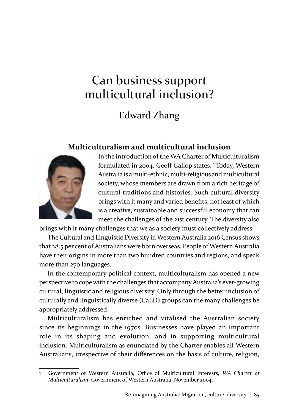# Can business support multicultural inclusion?

# Edward Zhang

### **Multiculturalism and multicultural inclusion**



In the introduction of the WA Charter of Multiculturalism formulated in 2004, Geoff Gallop states, "Today, Western Australia is a multi-ethnic, multi-religious and multicultural society, whose members are drawn from a rich heritage of cultural traditions and histories. Such cultural diversity brings with it many and varied benefits, not least of which is a creative, sustainable and successful economy that can meet the challenges of the 21st century. The diversity also

brings with it many challenges that we as a society must collectively address."<sup>1</sup>

The Cultural and Linguistic Diversity in Western Australia 2016 Census shows that 28.5 per cent of Australians were born overseas. People of Western Australia have their origins in more than two hundred countries and regions, and speak more than 270 languages.

In the contemporary political context, multiculturalism has opened a new perspective to cope with the challenges that accompany Australia's ever-growing cultural, linguistic and religious diversity. Only through the better inclusion of culturally and linguistically diverse (CaLD) groups can the many challenges be appropriately addressed.

Multiculturalism has enriched and vitalised the Australian society since its beginnings in the 1970s. Businesses have played an important role in its shaping and evolution, and in supporting multicultural inclusion. Multiculturalism as enunciated by the Charter enables all Western Australians, irrespective of their differences on the basis of culture, religion,

<sup>1</sup> Government of Western Australia, Office of Multicultural Interests, *WA Charter of Multiculturalism*, Government of Western Australia, November 2004.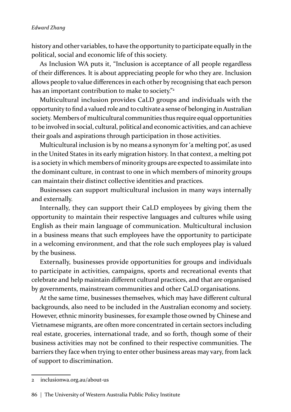history and other variables, to have the opportunity to participate equally in the political, social and economic life of this society.

As Inclusion WA puts it, "Inclusion is acceptance of all people regardless of their differences. It is about appreciating people for who they are. Inclusion allows people to value differences in each other by recognising that each person has an important contribution to make to society."<sup>2</sup>

Multicultural inclusion provides CaLD groups and individuals with the opportunity to find a valued role and to cultivate a sense of belonging in Australian society. Members of multicultural communities thus require equal opportunities to be involved in social, cultural, political and economic activities, and can achieve their goals and aspirations through participation in those activities.

Multicultural inclusion is by no means a synonym for 'a melting pot', as used in the United States in its early migration history. In that context, a melting pot is a society in which members of minority groups are expected to assimilate into the dominant culture, in contrast to one in which members of minority groups can maintain their distinct collective identities and practices.

Businesses can support multicultural inclusion in many ways internally and externally.

Internally, they can support their CaLD employees by giving them the opportunity to maintain their respective languages and cultures while using English as their main language of communication. Multicultural inclusion in a business means that such employees have the opportunity to participate in a welcoming environment, and that the role such employees play is valued by the business.

Externally, businesses provide opportunities for groups and individuals to participate in activities, campaigns, sports and recreational events that celebrate and help maintain different cultural practices, and that are organised by governments, mainstream communities and other CaLD organisations.

At the same time, businesses themselves, which may have different cultural backgrounds, also need to be included in the Australian economy and society. However, ethnic minority businesses, for example those owned by Chinese and Vietnamese migrants, are often more concentrated in certain sectors including real estate, groceries, international trade, and so forth, though some of their business activities may not be confined to their respective communities. The barriers they face when trying to enter other business areas may vary, from lack of support to discrimination.

<sup>2</sup> inclusionwa.org.au/about-us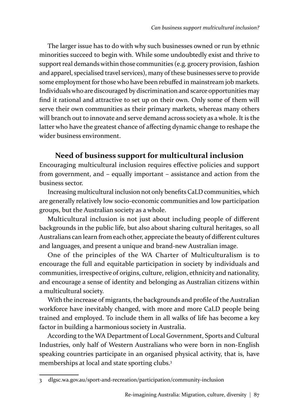The larger issue has to do with why such businesses owned or run by ethnic minorities succeed to begin with. While some undoubtedly exist and thrive to support real demands within those communities (e.g. grocery provision, fashion and apparel, specialised travel services), many of these businesses serve to provide some employment for those who have been rebuffed in mainstream job markets. Individuals who are discouraged by discrimination and scarce opportunities may find it rational and attractive to set up on their own. Only some of them will serve their own communities as their primary markets, whereas many others will branch out to innovate and serve demand across society as a whole. It is the latter who have the greatest chance of affecting dynamic change to reshape the wider business environment.

## **Need of business support for multicultural inclusion**

Encouraging multicultural inclusion requires effective policies and support from government, and – equally important – assistance and action from the business sector.

Increasing multicultural inclusion not only benefits CaLD communities, which are generally relatively low socio-economic communities and low participation groups, but the Australian society as a whole.

Multicultural inclusion is not just about including people of different backgrounds in the public life, but also about sharing cultural heritages, so all Australians can learn from each other, appreciate the beauty of different cultures and languages, and present a unique and brand-new Australian image.

One of the principles of the WA Charter of Multiculturalism is to encourage the full and equitable participation in society by individuals and communities, irrespective of origins, culture, religion, ethnicity and nationality, and encourage a sense of identity and belonging as Australian citizens within a multicultural society.

With the increase of migrants, the backgrounds and profile of the Australian workforce have inevitably changed, with more and more CaLD people being trained and employed. To include them in all walks of life has become a key factor in building a harmonious society in Australia.

According to the WA Department of Local Government, Sports and Cultural Industries, only half of Western Australians who were born in non-English speaking countries participate in an organised physical activity, that is, have memberships at local and state sporting clubs.<sup>3</sup>

<sup>3</sup> dlgsc.wa.gov.au/sport-and-recreation/participation/community-inclusion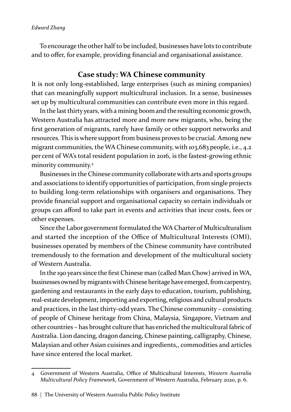To encourage the other half to be included, businesses have lots to contribute and to offer, for example, providing financial and organisational assistance.

### **Case study: WA Chinese community**

It is not only long-established, large enterprises (such as mining companies) that can meaningfully support multicultural inclusion. In a sense, businesses set up by multicultural communities can contribute even more in this regard.

In the last thirty years, with a mining boom and the resulting economic growth, Western Australia has attracted more and more new migrants, who, being the first generation of migrants, rarely have family or other support networks and resources. This is where support from business proves to be crucial. Among new migrant communities, the WA Chinese community, with 103,683 people, i.e., 4.2 per cent of WA's total resident population in 2016, is the fastest-growing ethnic minority community.4

Businesses in the Chinese community collaborate with arts and sports groups and associations to identify opportunities of participation, from single projects to building long-term relationships with organisers and organisations. They provide financial support and organisational capacity so certain individuals or groups can afford to take part in events and activities that incur costs, fees or other expenses.

Since the Labor government formulated the WA Charter of Multiculturalism and started the inception of the Office of Multicultural Interests (OMI), businesses operated by members of the Chinese community have contributed tremendously to the formation and development of the multicultural society of Western Australia.

In the 190 years since the first Chinese man (called Man Chow) arrived in WA, businesses owned by migrants with Chinese heritage have emerged, from carpentry, gardening and restaurants in the early days to education, tourism, publishing, real-estate development, importing and exporting, religious and cultural products and practices, in the last thirty-odd years. The Chinese community – consisting of people of Chinese heritage from China, Malaysia, Singapore, Vietnam and other countries – has brought culture that has enriched the multicultural fabric of Australia. Lion dancing, dragon dancing, Chinese painting, calligraphy, Chinese, Malaysian and other Asian cuisines and ingredients,, commodities and articles have since entered the local market.

<sup>4</sup> Government of Western Australia, Office of Multicultural Interests, *Western Australia Multicultural Policy Framework*, Government of Western Australia, February 2020, p. 6.

<sup>88 |</sup> The University of Western Australia Public Policy Institute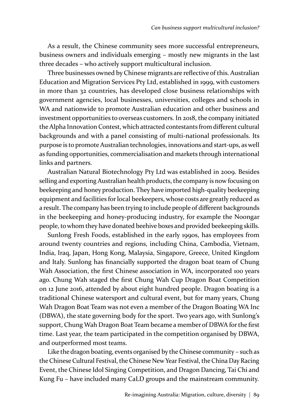As a result, the Chinese community sees more successful entrepreneurs, business owners and individuals emerging – mostly new migrants in the last three decades – who actively support multicultural inclusion.

Three businesses owned by Chinese migrants are reflective of this. Australian Education and Migration Services Pty Ltd, established in 1999, with customers in more than 32 countries, has developed close business relationships with government agencies, local businesses, universities, colleges and schools in WA and nationwide to promote Australian education and other business and investment opportunities to overseas customers. In 2018, the company initiated the Alpha Innovation Contest, which attracted contestants from different cultural backgrounds and with a panel consisting of multi-national professionals. Its purpose is to promote Australian technologies, innovations and start-ups, as well as funding opportunities, commercialisation and markets through international links and partners.

Australian Natural Biotechnology Pty Ltd was established in 2009. Besides selling and exporting Australian health products, the company is now focusing on beekeeping and honey production. They have imported high-quality beekeeping equipment and facilities for local beekeepers, whose costs are greatly reduced as a result. The company has been trying to include people of different backgrounds in the beekeeping and honey-producing industry, for example the Noongar people, to whom they have donated beehive boxes and provided beekeeping skills.

Sunlong Fresh Foods, established in the early 1990s, has employees from around twenty countries and regions, including China, Cambodia, Vietnam, India, Iraq, Japan, Hong Kong, Malaysia, Singapore, Greece, United Kingdom and Italy. Sunlong has financially supported the dragon boat team of Chung Wah Association, the first Chinese association in WA, incorporated 100 years ago. Chung Wah staged the first Chung Wah Cup Dragon Boat Competition on 12 June 2016, attended by about eight hundred people. Dragon boating is a traditional Chinese watersport and cultural event, but for many years, Chung Wah Dragon Boat Team was not even a member of the Dragon Boating WA Inc (DBWA), the state governing body for the sport. Two years ago, with Sunlong's support, Chung Wah Dragon Boat Team became a member of DBWA for the first time. Last year, the team participated in the competition organised by DBWA, and outperformed most teams.

Like the dragon boating, events organised by the Chinese community – such as the Chinese Cultural Festival, the Chinese New Year Festival, the China Day Racing Event, the Chinese Idol Singing Competition, and Dragon Dancing, Tai Chi and Kung Fu – have included many CaLD groups and the mainstream community.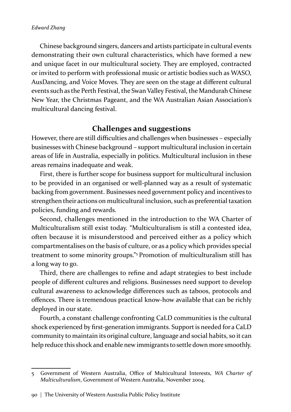#### *Edward Zhang*

Chinese background singers, dancers and artists participate in cultural events demonstrating their own cultural characteristics, which have formed a new and unique facet in our multicultural society. They are employed, contracted or invited to perform with professional music or artistic bodies such as WASO, AusDancing, and Voice Moves. They are seen on the stage at different cultural events such as the Perth Festival, the Swan Valley Festival, the Mandurah Chinese New Year, the Christmas Pageant, and the WA Australian Asian Association's multicultural dancing festival.

### **Challenges and suggestions**

However, there are still difficulties and challenges when businesses – especially businesses with Chinese background – support multicultural inclusion in certain areas of life in Australia, especially in politics. Multicultural inclusion in these areas remains inadequate and weak.

First, there is further scope for business support for multicultural inclusion to be provided in an organised or well-planned way as a result of systematic backing from government. Businesses need government policy and incentives to strengthen their actions on multicultural inclusion, such as preferential taxation policies, funding and rewards.

Second, challenges mentioned in the introduction to the WA Charter of Multiculturalism still exist today. "Multiculturalism is still a contested idea, often because it is misunderstood and perceived either as a policy which compartmentalises on the basis of culture, or as a policy which provides special treatment to some minority groups."5 Promotion of multiculturalism still has a long way to go.

Third, there are challenges to refine and adapt strategies to best include people of different cultures and religions. Businesses need support to develop cultural awareness to acknowledge differences such as taboos, protocols and offences. There is tremendous practical know-how available that can be richly deployed in our state.

Fourth, a constant challenge confronting CaLD communities is the cultural shock experienced by first-generation immigrants. Support is needed for a CaLD community to maintain its original culture, language and social habits, so it can help reduce this shock and enable new immigrants to settle down more smoothly.

<sup>5</sup> Government of Western Australia, Office of Multicultural Interests, *WA Charter of Multiculturalism*, Government of Western Australia, November 2004.

<sup>90 |</sup> The University of Western Australia Public Policy Institute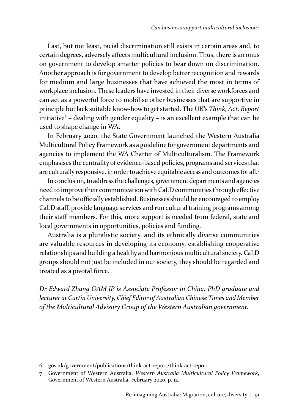Last, but not least, racial discrimination still exists in certain areas and, to certain degrees, adversely affects multicultural inclusion. Thus, there is an onus on government to develop smarter policies to bear down on discrimination. Another approach is for government to develop better recognition and rewards for medium and large businesses that have achieved the most in terms of workplace inclusion. These leaders have invested in their diverse workforces and can act as a powerful force to mobilise other businesses that are supportive in principle but lack suitable know-how to get started. The UK's *Think, Act, Report* initiative6 – dealing with gender equality – is an excellent example that can be used to shape change in WA.

In February 2020, the State Government launched the Western Australia Multicultural Policy Framework as a guideline for government departments and agencies to implement the WA Charter of Multiculturalism. The Framework emphasises the centrality of evidence-based policies, programs and services that are culturally responsive, in order to achieve equitable access and outcomes for all.<sup>7</sup>

In conclusion, to address the challenges, government departments and agencies need to improve their communication with CaLD communities through effective channels to be officially established. Businesses should be encouraged to employ CaLD staff, provide language services and run cultural training programs among their staff members. For this, more support is needed from federal, state and local governments in opportunities, policies and funding.

Australia is a pluralistic society, and its ethnically diverse communities are valuable resources in developing its economy, establishing cooperative relationships and building a healthy and harmonious multicultural society. CaLD groups should not just be included in our society, they should be regarded and treated as a pivotal force.

*Dr Edward Zhang OAM JP is Associate Professor in China, PhD graduate and lecturer at Curtin University, Chief Editor of Australian Chinese Times and Member of the Multicultural Advisory Group of the Western Australian government.*

<sup>6</sup> gov.uk/government/publications/think-act-report/think-act-report

<sup>7</sup> Government of Western Australia, *Western Australia Multicultural Policy Framework*, Government of Western Australia, February 2020, p. 12.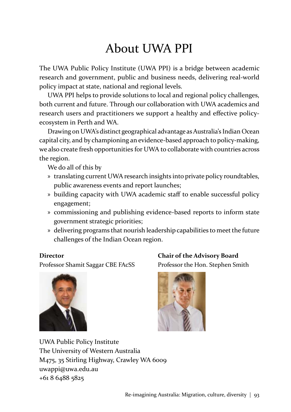# About UWA PPI

The UWA Public Policy Institute (UWA PPI) is a bridge between academic research and government, public and business needs, delivering real-world policy impact at state, national and regional levels.

UWA PPI helps to provide solutions to local and regional policy challenges, both current and future. Through our collaboration with UWA academics and research users and practitioners we support a healthy and effective policyecosystem in Perth and WA.

Drawing on UWA's distinct geographical advantage as Australia's Indian Ocean capital city, and by championing an evidence-based approach to policy-making, we also create fresh opportunities for UWA to collaborate with countries across the region.

We do all of this by

- » translating current UWA research insights into private policy roundtables, public awareness events and report launches;
- » building capacity with UWA academic staff to enable successful policy engagement;
- » commissioning and publishing evidence-based reports to inform state government strategic priorities;
- » delivering programs that nourish leadership capabilities to meet the future challenges of the Indian Ocean region.

### **Director**

Professor Shamit Saggar CBE FAcSS







UWA Public Policy Institute The University of Western Australia M475, 35 Stirling Highway, Crawley WA 6009 uwappi@uwa.edu.au +61 8 6488 5825